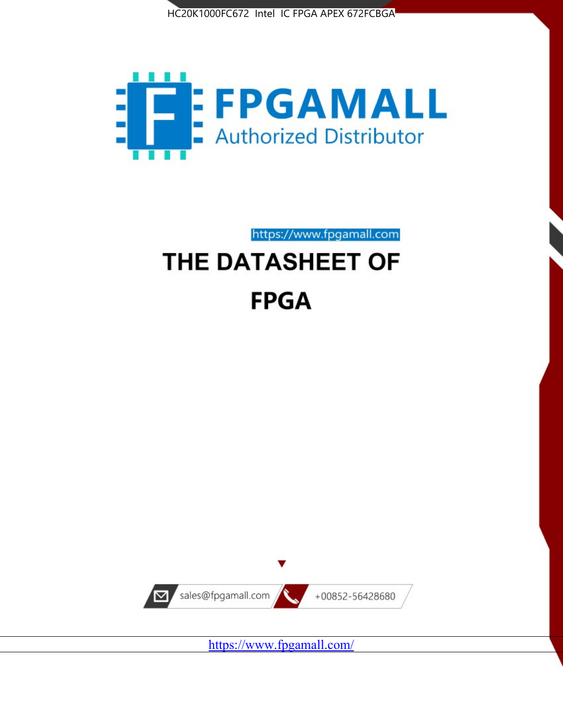



https://www.fpgamall.com THE DATASHEET OF

# **FPGA**



<https://www.fpgamall.com/>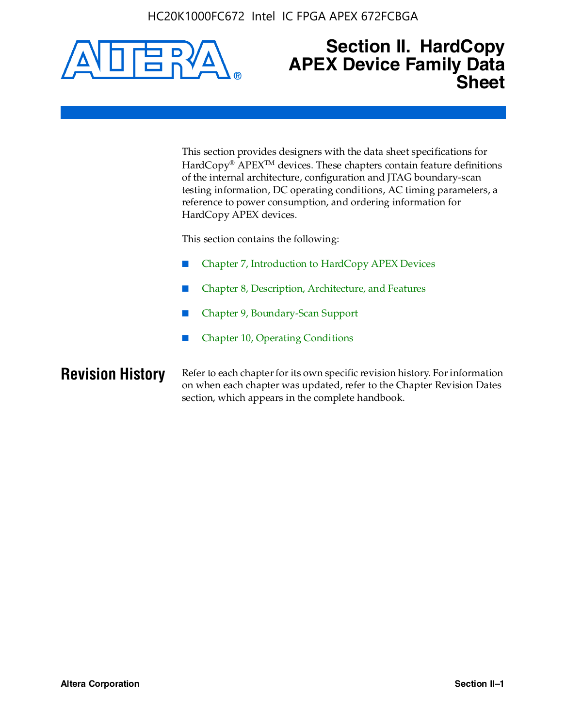HC20K1000FC672 Intel IC FPGA APEX 672FCBGA



### **Section II. HardCopy APEX Device Family Data Sheet**

This section provides designers with the data sheet specifications for HardCopy<sup>®</sup> APEX<sup>™</sup> devices. These chapters contain feature definitions of the internal architecture, configuration and JTAG boundary-scan testing information, DC operating conditions, AC timing parameters, a reference to power consumption, and ordering information for HardCopy APEX devices.

This section contains the following:

- Chapter 7, Introduction to HardCopy APEX Devices
- Chapter 8, Description, Architecture, and Features
- Chapter 9, Boundary-Scan Support
- Chapter 10, Operating Conditions

**Revision History** Refer to each chapter for its own specific revision history. For information on when each chapter was updated, refer to the Chapter Revision Dates section, which appears in the complete handbook.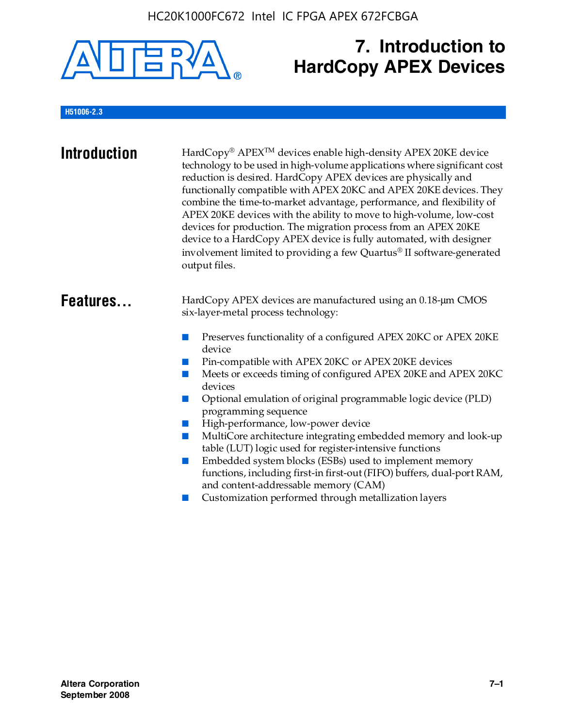

# **7. Introduction to HardCopy APEX Devices**

#### **H51006-2.3**

| <b>Introduction</b> | HardCopy® APEX <sup>™</sup> devices enable high-density APEX 20KE device<br>technology to be used in high-volume applications where significant cost<br>reduction is desired. HardCopy APEX devices are physically and<br>functionally compatible with APEX 20KC and APEX 20KE devices. They<br>combine the time-to-market advantage, performance, and flexibility of<br>APEX 20KE devices with the ability to move to high-volume, low-cost<br>devices for production. The migration process from an APEX 20KE<br>device to a HardCopy APEX device is fully automated, with designer<br>involvement limited to providing a few Quartus® II software-generated<br>output files.                                                                                                                                    |
|---------------------|--------------------------------------------------------------------------------------------------------------------------------------------------------------------------------------------------------------------------------------------------------------------------------------------------------------------------------------------------------------------------------------------------------------------------------------------------------------------------------------------------------------------------------------------------------------------------------------------------------------------------------------------------------------------------------------------------------------------------------------------------------------------------------------------------------------------|
| Features            | HardCopy APEX devices are manufactured using an 0.18-um CMOS<br>six-layer-metal process technology:<br>Preserves functionality of a configured APEX 20KC or APEX 20KE<br>device<br>Pin-compatible with APEX 20KC or APEX 20KE devices<br>Meets or exceeds timing of configured APEX 20KE and APEX 20KC<br>devices<br>Optional emulation of original programmable logic device (PLD)<br>programming sequence<br>High-performance, low-power device<br>MultiCore architecture integrating embedded memory and look-up<br>table (LUT) logic used for register-intensive functions<br>Embedded system blocks (ESBs) used to implement memory<br>functions, including first-in first-out (FIFO) buffers, dual-port RAM,<br>and content-addressable memory (CAM)<br>Customization performed through metallization layers |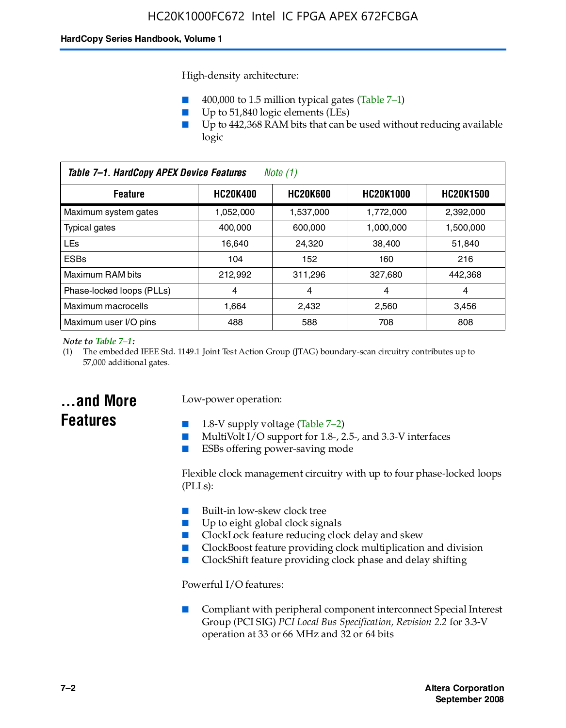High-density architecture:

- 400,000 to 1.5 million typical gates (Table 7–1)
- Up to 51,840 logic elements (LEs)
- Up to 442,368 RAM bits that can be used without reducing available logic

| Table 7-1. HardCopy APEX Device Features<br>Note (1)                                         |           |           |           |           |
|----------------------------------------------------------------------------------------------|-----------|-----------|-----------|-----------|
| <b>HC20K600</b><br><b>HC20K400</b><br><b>HC20K1000</b><br><b>HC20K1500</b><br><b>Feature</b> |           |           |           |           |
| Maximum system gates                                                                         | 1,052,000 | 1,537,000 | 1,772,000 | 2,392,000 |
| Typical gates                                                                                | 400.000   | 600,000   | 1.000.000 | 1,500,000 |
| <b>LEs</b>                                                                                   | 16.640    | 24.320    | 38.400    | 51,840    |
| <b>ESBs</b>                                                                                  | 104       | 152       | 160       | 216       |
| Maximum RAM bits                                                                             | 212.992   | 311,296   | 327,680   | 442,368   |
| Phase-locked loops (PLLs)                                                                    | 4         | 4         | 4         | 4         |
| Maximum macrocells                                                                           | 1.664     | 2,432     | 2,560     | 3,456     |
| Maximum user I/O pins                                                                        | 488       | 588       | 708       | 808       |

#### *Note to Table 7–1:*

(1) The embedded IEEE Std. 1149.1 Joint Test Action Group (JTAG) boundary-scan circuitry contributes up to 57,000 additional gates.

### **...and More Features**

#### Low-power operation:

- 1.8-V supply voltage (Table  $7-2$ )
- MultiVolt I/O support for 1.8-, 2.5-, and 3.3-V interfaces
- ESBs offering power-saving mode

Flexible clock management circuitry with up to four phase-locked loops (PLLs):

- Built-in low-skew clock tree
- Up to eight global clock signals
- ClockLock feature reducing clock delay and skew
- ClockBoost feature providing clock multiplication and division
- ClockShift feature providing clock phase and delay shifting

Powerful I/O features:

■ Compliant with peripheral component interconnect Special Interest Group (PCI SIG) *PCI Local Bus Specification, Revision 2.2* for 3.3-V operation at 33 or 66 MHz and 32 or 64 bits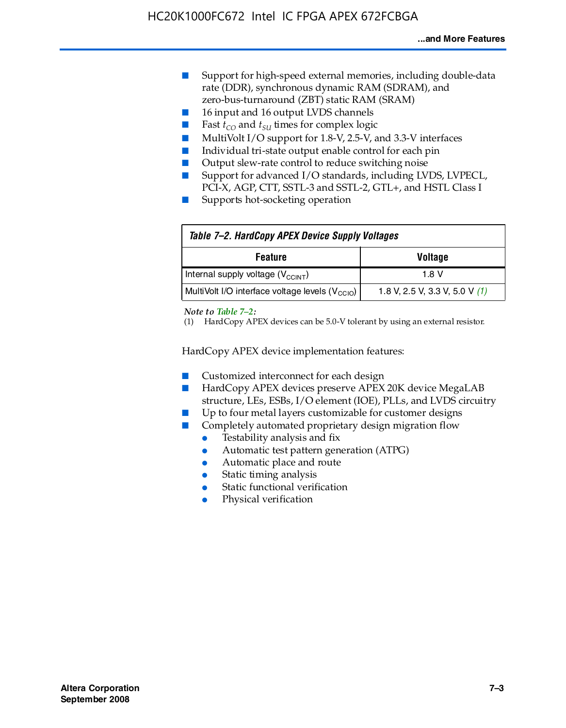- Support for high-speed external memories, including double-data rate (DDR), synchronous dynamic RAM (SDRAM), and zero-bus-turnaround (ZBT) static RAM (SRAM)
- 16 input and 16 output LVDS channels
- Fast  $t_{CO}$  and  $t_{SU}$  times for complex logic
- MultiVolt I/O support for 1.8-V, 2.5-V, and 3.3-V interfaces
- Individual tri-state output enable control for each pin
- Output slew-rate control to reduce switching noise
- Support for advanced I/O standards, including LVDS, LVPECL, PCI-X, AGP, CTT, SSTL-3 and SSTL-2, GTL+, and HSTL Class I
- Supports hot-socketing operation

| Table 7-2. HardCopy APEX Device Supply Voltages             |                                  |
|-------------------------------------------------------------|----------------------------------|
| <b>Voltage</b><br><b>Feature</b>                            |                                  |
| Internal supply voltage (V <sub>CCINT</sub> )               | 1.8 V                            |
| MultiVolt I/O interface voltage levels (V <sub>CCIO</sub> ) | 1.8 V, 2.5 V, 3.3 V, 5.0 V $(1)$ |

#### *Note to Table 7–2:*

(1) HardCopy APEX devices can be 5.0-V tolerant by using an external resistor.

HardCopy APEX device implementation features:

- Customized interconnect for each design
- HardCopy APEX devices preserve APEX 20K device MegaLAB structure, LEs, ESBs, I/O element (IOE), PLLs, and LVDS circuitry
- Up to four metal layers customizable for customer designs
- Completely automated proprietary design migration flow
	- Testability analysis and fix
	- Automatic test pattern generation (ATPG)
	- Automatic place and route
	- Static timing analysis
	- Static functional verification
	- Physical verification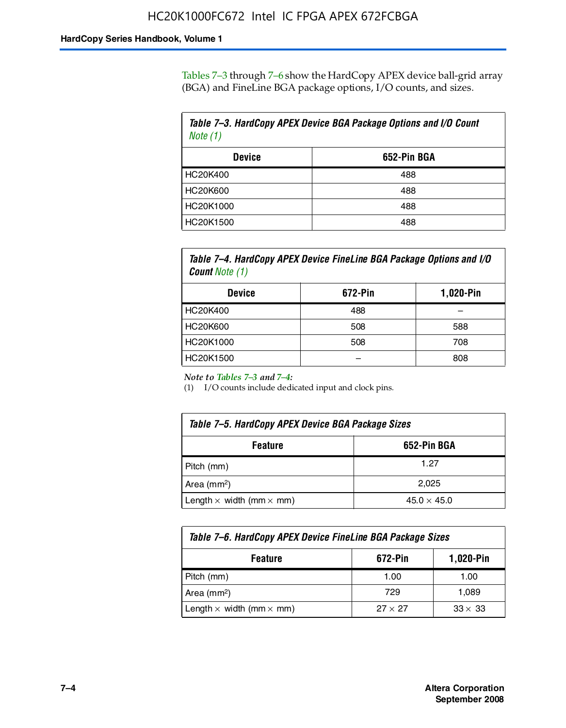Tables 7–3 through 7–6 show the HardCopy APEX device ball-grid array (BGA) and FineLine BGA package options, I/O counts, and sizes.

| Table 7–3. HardCopy APEX Device BGA Package Options and I/O Count<br>Note $(1)$ |             |  |
|---------------------------------------------------------------------------------|-------------|--|
| <b>Device</b>                                                                   | 652-Pin BGA |  |
| HC20K400                                                                        | 488         |  |
| HC20K600                                                                        | 488         |  |
| HC20K1000                                                                       | 488         |  |
| HC20K1500                                                                       | 488         |  |

*Table 7–4. HardCopy APEX Device FineLine BGA Package Options and I/O Count Note (1)*

| <b>Device</b>   | 672-Pin | 1,020-Pin |
|-----------------|---------|-----------|
| HC20K400        | 488     |           |
| <b>HC20K600</b> | 508     | 588       |
| HC20K1000       | 508     | 708       |
| HC20K1500       |         | 808       |

*Note to Tables 7–3 and 7–4:*

(1) I/O counts include dedicated input and clock pins.

| Table 7–5. HardCopy APEX Device BGA Package Sizes |                    |  |
|---------------------------------------------------|--------------------|--|
| 652-Pin BGA<br><b>Feature</b>                     |                    |  |
| Pitch (mm)                                        | 1.27               |  |
| Area (mm <sup>2</sup> )                           | 2.025              |  |
| Length $\times$ width (mm $\times$ mm)            | $45.0 \times 45.0$ |  |

| Table 7–6. HardCopy APEX Device FineLine BGA Package Sizes |                |                |  |
|------------------------------------------------------------|----------------|----------------|--|
| 1,020-Pin<br>672-Pin<br><b>Feature</b>                     |                |                |  |
| Pitch (mm)                                                 | 1.00           | 1.00           |  |
| Area ( $mm2$ )                                             | 729            | 1.089          |  |
| Length $\times$ width (mm $\times$ mm)                     | $27 \times 27$ | $33 \times 33$ |  |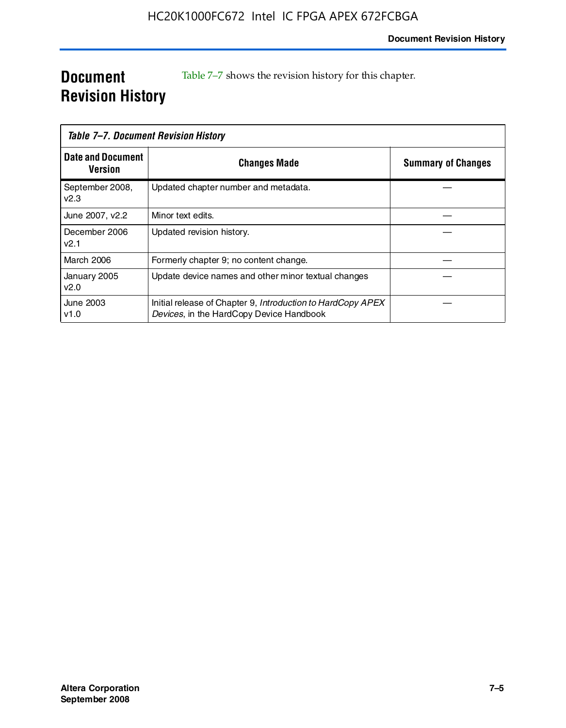### **Document Revision History**

Table 7–7 shows the revision history for this chapter.

| Table 7–7. Document Revision History |                                                                                                         |                           |
|--------------------------------------|---------------------------------------------------------------------------------------------------------|---------------------------|
| <b>Date and Document</b><br>Version  | <b>Changes Made</b>                                                                                     | <b>Summary of Changes</b> |
| September 2008,<br>V <sub>2.3</sub>  | Updated chapter number and metadata.                                                                    |                           |
| June 2007, v2.2                      | Minor text edits.                                                                                       |                           |
| December 2006<br>v2.1                | Updated revision history.                                                                               |                           |
| <b>March 2006</b>                    | Formerly chapter 9; no content change.                                                                  |                           |
| January 2005<br>v2.0                 | Update device names and other minor textual changes                                                     |                           |
| June 2003<br>v1.0                    | Initial release of Chapter 9, Introduction to HardCopy APEX<br>Devices, in the HardCopy Device Handbook |                           |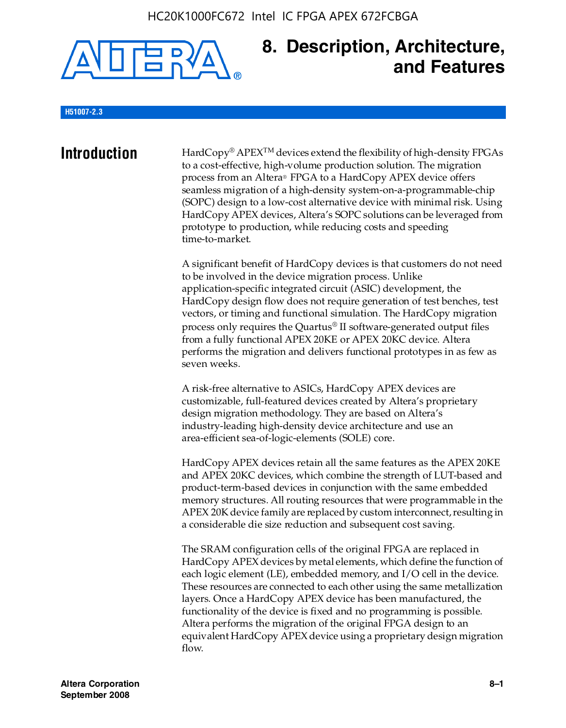

### **8. Description, Architecture, and Features**

#### **H51007-2.3**

**Introduction** HardCopy<sup>®</sup> APEX<sup>TM</sup> devices extend the flexibility of high-density FPGAs to a cost-effective, high-volume production solution. The migration process from an Altera® FPGA to a HardCopy APEX device offers seamless migration of a high-density system-on-a-programmable-chip (SOPC) design to a low-cost alternative device with minimal risk. Using HardCopy APEX devices, Altera's SOPC solutions can be leveraged from prototype to production, while reducing costs and speeding time-to-market.

> A significant benefit of HardCopy devices is that customers do not need to be involved in the device migration process. Unlike application-specific integrated circuit (ASIC) development, the HardCopy design flow does not require generation of test benches, test vectors, or timing and functional simulation. The HardCopy migration process only requires the Quartus® II software-generated output files from a fully functional APEX 20KE or APEX 20KC device. Altera performs the migration and delivers functional prototypes in as few as seven weeks.

A risk-free alternative to ASICs, HardCopy APEX devices are customizable, full-featured devices created by Altera's proprietary design migration methodology. They are based on Altera's industry-leading high-density device architecture and use an area-efficient sea-of-logic-elements (SOLE) core.

HardCopy APEX devices retain all the same features as the APEX 20KE and APEX 20KC devices, which combine the strength of LUT-based and product-term-based devices in conjunction with the same embedded memory structures. All routing resources that were programmable in the APEX 20K device family are replaced by custom interconnect, resulting in a considerable die size reduction and subsequent cost saving.

The SRAM configuration cells of the original FPGA are replaced in HardCopy APEX devices by metal elements, which define the function of each logic element (LE), embedded memory, and I/O cell in the device. These resources are connected to each other using the same metallization layers. Once a HardCopy APEX device has been manufactured, the functionality of the device is fixed and no programming is possible. Altera performs the migration of the original FPGA design to an equivalent HardCopy APEX device using a proprietary design migration flow.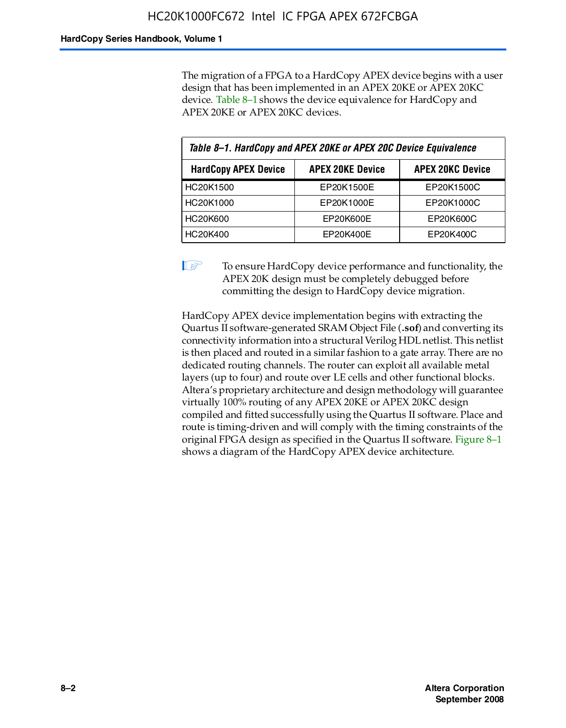The migration of a FPGA to a HardCopy APEX device begins with a user design that has been implemented in an APEX 20KE or APEX 20KC device. Table 8–1 shows the device equivalence for HardCopy and APEX 20KE or APEX 20KC devices.

| Table 8-1. HardCopy and APEX 20KE or APEX 20C Device Equivalence |                         |                         |  |
|------------------------------------------------------------------|-------------------------|-------------------------|--|
| <b>HardCopy APEX Device</b>                                      | <b>APEX 20KE Device</b> | <b>APEX 20KC Device</b> |  |
| HC20K1500                                                        | EP20K1500E              | EP20K1500C              |  |
| HC20K1000                                                        | EP20K1000E              | EP20K1000C              |  |
| <b>HC20K600</b>                                                  | EP20K600E               | EP20K600C               |  |
| HC20K400                                                         | EP20K400E               | EP20K400C               |  |

 $\mathbb{I}$  To ensure HardCopy device performance and functionality, the APEX 20K design must be completely debugged before committing the design to HardCopy device migration.

HardCopy APEX device implementation begins with extracting the Quartus II software-generated SRAM Object File (**.sof**) and converting its connectivity information into a structural Verilog HDL netlist. This netlist is then placed and routed in a similar fashion to a gate array. There are no dedicated routing channels. The router can exploit all available metal layers (up to four) and route over LE cells and other functional blocks. Altera's proprietary architecture and design methodology will guarantee virtually 100% routing of any APEX 20KE or APEX 20KC design compiled and fitted successfully using the Quartus II software. Place and route is timing-driven and will comply with the timing constraints of the original FPGA design as specified in the Quartus II software. Figure 8–1 shows a diagram of the HardCopy APEX device architecture.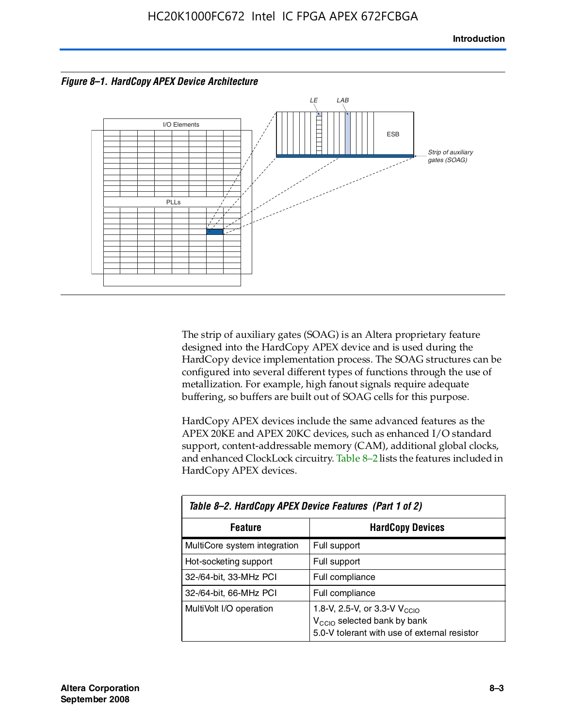



The strip of auxiliary gates (SOAG) is an Altera proprietary feature designed into the HardCopy APEX device and is used during the HardCopy device implementation process. The SOAG structures can be configured into several different types of functions through the use of metallization. For example, high fanout signals require adequate buffering, so buffers are built out of SOAG cells for this purpose.

HardCopy APEX devices include the same advanced features as the APEX 20KE and APEX 20KC devices, such as enhanced I/O standard support, content-addressable memory (CAM), additional global clocks, and enhanced ClockLock circuitry. Table 8–2 lists the features included in HardCopy APEX devices.

| Table 8-2. HardCopy APEX Device Features (Part 1 of 2) |                                                                                                                                     |  |  |
|--------------------------------------------------------|-------------------------------------------------------------------------------------------------------------------------------------|--|--|
| <b>HardCopy Devices</b><br><b>Feature</b>              |                                                                                                                                     |  |  |
| MultiCore system integration                           | Full support                                                                                                                        |  |  |
| Hot-socketing support                                  | Full support                                                                                                                        |  |  |
| 32-/64-bit, 33-MHz PCI                                 | Full compliance                                                                                                                     |  |  |
| 32-/64-bit, 66-MHz PCI                                 | Full compliance                                                                                                                     |  |  |
| MultiVolt I/O operation                                | 1.8-V, 2.5-V, or 3.3-V $V_{\text{CCIO}}$<br>V <sub>CCIO</sub> selected bank by bank<br>5.0-V tolerant with use of external resistor |  |  |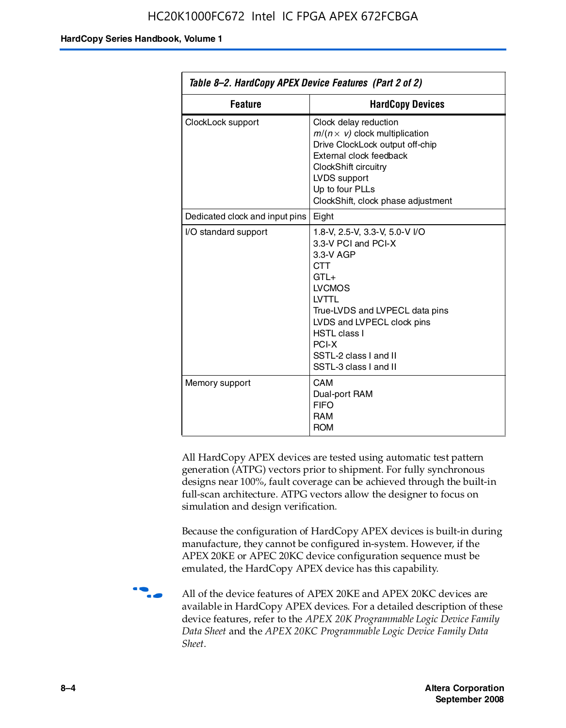| Table 8–2. HardCopy APEX Device Features (Part 2 of 2) |                                                                                                                                                                                                                                                                                |  |
|--------------------------------------------------------|--------------------------------------------------------------------------------------------------------------------------------------------------------------------------------------------------------------------------------------------------------------------------------|--|
| <b>Feature</b><br><b>HardCopy Devices</b>              |                                                                                                                                                                                                                                                                                |  |
| ClockLock support                                      | Clock delay reduction<br>$m/(n \times v)$ clock multiplication<br>Drive ClockLock output off-chip<br>External clock feedback<br>ClockShift circuitry<br>LVDS support<br>Up to four PLLs<br>ClockShift, clock phase adjustment                                                  |  |
| Dedicated clock and input pins                         | Eight                                                                                                                                                                                                                                                                          |  |
| I/O standard support                                   | 1.8-V, 2.5-V, 3.3-V, 5.0-V I/O<br>3.3-V PCI and PCI-X<br>3.3-V AGP<br><b>CTT</b><br>$GTI +$<br><b>LVCMOS</b><br><b>IVTTI</b><br>True-LVDS and LVPECL data pins<br>LVDS and LVPECL clock pins<br><b>HSTL class I</b><br>PCI-X<br>SSTL-2 class I and II<br>SSTL-3 class I and II |  |
| Memory support                                         | CAM<br>Dual-port RAM<br><b>FIFO</b><br><b>RAM</b><br><b>ROM</b>                                                                                                                                                                                                                |  |

All HardCopy APEX devices are tested using automatic test pattern generation (ATPG) vectors prior to shipment. For fully synchronous designs near 100%, fault coverage can be achieved through the built-in full-scan architecture. ATPG vectors allow the designer to focus on simulation and design verification.

Because the configuration of HardCopy APEX devices is built-in during manufacture, they cannot be configured in-system. However, if the APEX 20KE or APEC 20KC device configuration sequence must be emulated, the HardCopy APEX device has this capability.

**f all of the device features of APEX 20KE and APEX 20KC devices are** available in HardCopy APEX devices. For a detailed description of these device features, refer to the *APEX 20K Programmable Logic Device Family Data Sheet* and the *APEX 20KC Programmable Logic Device Family Data Sheet*.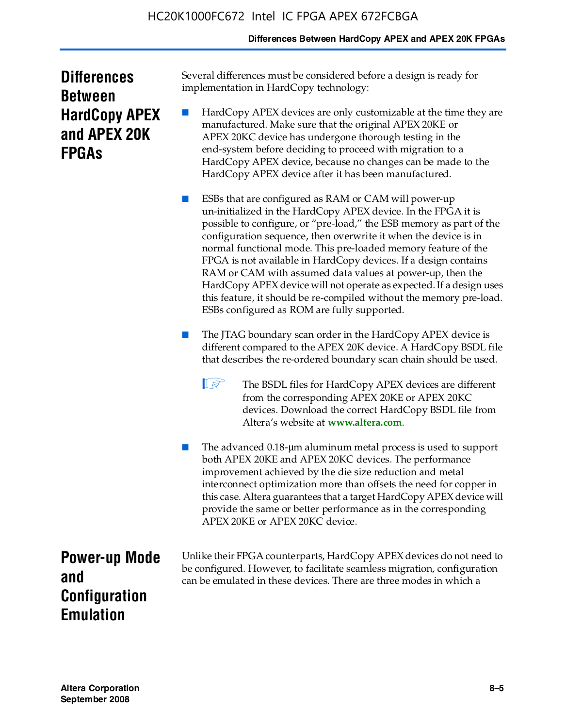#### **Differences Between HardCopy APEX and APEX 20K FPGAs**

| <b>Differences</b>   |
|----------------------|
| <b>Between</b>       |
| <b>HardCopy APEX</b> |
| and APEX 20K         |
| <b>FPGAS</b>         |

Several differences must be considered before a design is ready for implementation in HardCopy technology:

HardCopy APEX devices are only customizable at the time they are manufactured. Make sure that the original APEX 20KE or APEX 20KC device has undergone thorough testing in the end-system before deciding to proceed with migration to a HardCopy APEX device, because no changes can be made to the HardCopy APEX device after it has been manufactured.

ESBs that are configured as RAM or CAM will power-up un-initialized in the HardCopy APEX device. In the FPGA it is possible to configure, or "pre-load," the ESB memory as part of the configuration sequence, then overwrite it when the device is in normal functional mode. This pre-loaded memory feature of the FPGA is not available in HardCopy devices. If a design contains RAM or CAM with assumed data values at power-up, then the HardCopy APEX device will not operate as expected. If a design uses this feature, it should be re-compiled without the memory pre-load. ESBs configured as ROM are fully supported.

The JTAG boundary scan order in the HardCopy APEX device is different compared to the APEX 20K device. A HardCopy BSDL file that describes the re-ordered boundary scan chain should be used.

**1 The BSDL files for HardCopy APEX devices are different** from the corresponding APEX 20KE or APEX 20KC devices. Download the correct HardCopy BSDL file from Altera's website at **[www.altera.com](http://www.altera.com)**.

The advanced 0.18-μm aluminum metal process is used to support both APEX 20KE and APEX 20KC devices. The performance improvement achieved by the die size reduction and metal interconnect optimization more than offsets the need for copper in this case. Altera guarantees that a target HardCopy APEX device will provide the same or better performance as in the corresponding APEX 20KE or APEX 20KC device.

**Power-up Mode and Configuration Emulation**

Unlike their FPGA counterparts, HardCopy APEX devices do not need to be configured. However, to facilitate seamless migration, configuration can be emulated in these devices. There are three modes in which a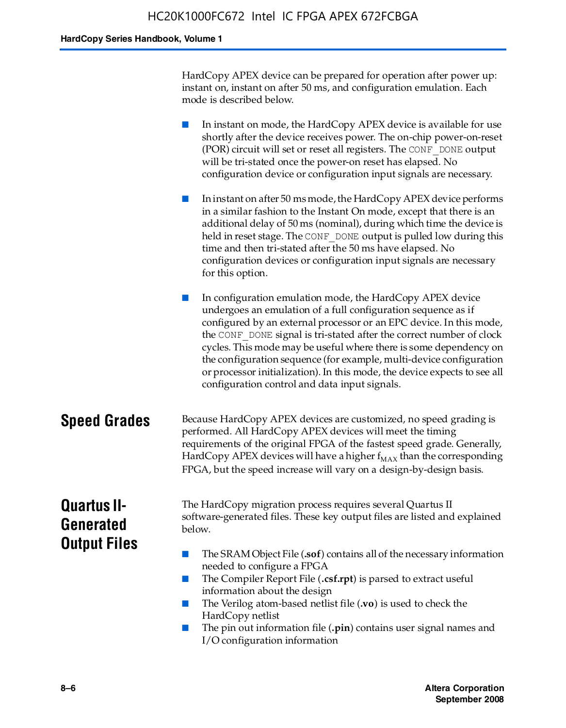HardCopy APEX device can be prepared for operation after power up: instant on, instant on after 50 ms, and configuration emulation. Each mode is described below.

■ In instant on mode, the HardCopy APEX device is available for use shortly after the device receives power. The on-chip power-on-reset (POR) circuit will set or reset all registers. The CONF\_DONE output will be tri-stated once the power-on reset has elapsed. No configuration device or configuration input signals are necessary.

■ In instant on after 50 ms mode, the HardCopy APEX device performs in a similar fashion to the Instant On mode, except that there is an additional delay of 50 ms (nominal), during which time the device is held in reset stage. The CONF DONE output is pulled low during this time and then tri-stated after the 50 ms have elapsed. No configuration devices or configuration input signals are necessary for this option.

In configuration emulation mode, the HardCopy APEX device undergoes an emulation of a full configuration sequence as if configured by an external processor or an EPC device. In this mode, the CONF\_DONE signal is tri-stated after the correct number of clock cycles. This mode may be useful where there is some dependency on the configuration sequence (for example, multi-device configuration or processor initialization). In this mode, the device expects to see all configuration control and data input signals.

#### **Speed Grades** Because HardCopy APEX devices are customized, no speed grading is performed. All HardCopy APEX devices will meet the timing requirements of the original FPGA of the fastest speed grade. Generally, HardCopy APEX devices will have a higher  $f_{MAX}$  than the corresponding FPGA, but the speed increase will vary on a design-by-design basis.

### **Quartus II-Generated Output Files**

The HardCopy migration process requires several Quartus II software-generated files. These key output files are listed and explained below.

- The SRAM Object File (**.sof**) contains all of the necessary information needed to configure a FPGA
- The Compiler Report File (.csf.rpt) is parsed to extract useful information about the design
- The Verilog atom-based netlist file (**.vo**) is used to check the HardCopy netlist
- The pin out information file (**.pin**) contains user signal names and I/O configuration information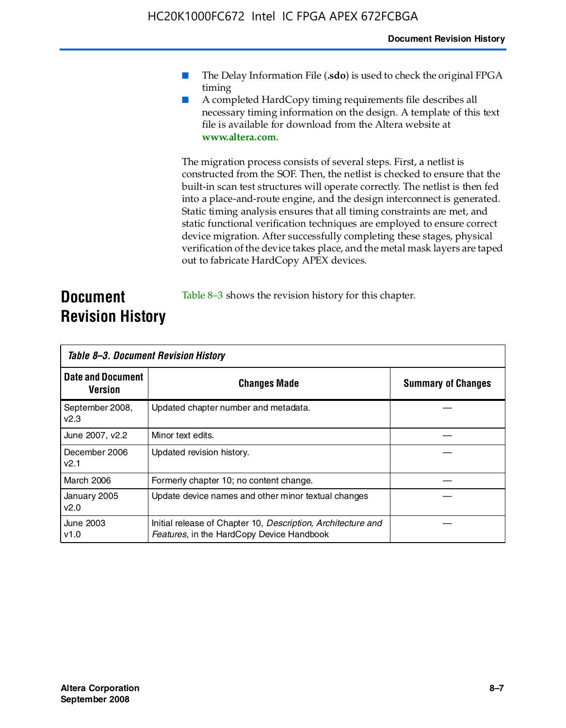- The Delay Information File (.sdo) is used to check the original FPGA timing
- A completed HardCopy timing requirements file describes all necessary timing information on the design. A template of this text file is available for download from the Altera website at **www.altera.com**.

The migration process consists of several steps. First, a netlist is constructed from the SOF. Then, the netlist is checked to ensure that the built-in scan test structures will operate correctly. The netlist is then fed into a place-and-route engine, and the design interconnect is generated. Static timing analysis ensures that all timing constraints are met, and static functional verification techniques are employed to ensure correct device migration. After successfully completing these stages, physical verification of the device takes place, and the metal mask layers are taped out to fabricate HardCopy APEX devices.

#### **Document Revision History** Table 8–3 shows the revision history for this chapter.

| Table 8–3. Document Revision History |                                                                                                           |                           |  |  |
|--------------------------------------|-----------------------------------------------------------------------------------------------------------|---------------------------|--|--|
| <b>Date and Document</b><br>Version  | <b>Changes Made</b>                                                                                       | <b>Summary of Changes</b> |  |  |
| September 2008,<br>V <sub>2.3</sub>  | Updated chapter number and metadata.                                                                      |                           |  |  |
| June 2007, v2.2                      | Minor text edits.                                                                                         |                           |  |  |
| December 2006<br>v2.1                | Updated revision history.                                                                                 |                           |  |  |
| March 2006                           | Formerly chapter 10; no content change.                                                                   |                           |  |  |
| January 2005<br>v2.0                 | Update device names and other minor textual changes                                                       |                           |  |  |
| <b>June 2003</b><br>v1.0             | Initial release of Chapter 10, Description, Architecture and<br>Features, in the HardCopy Device Handbook |                           |  |  |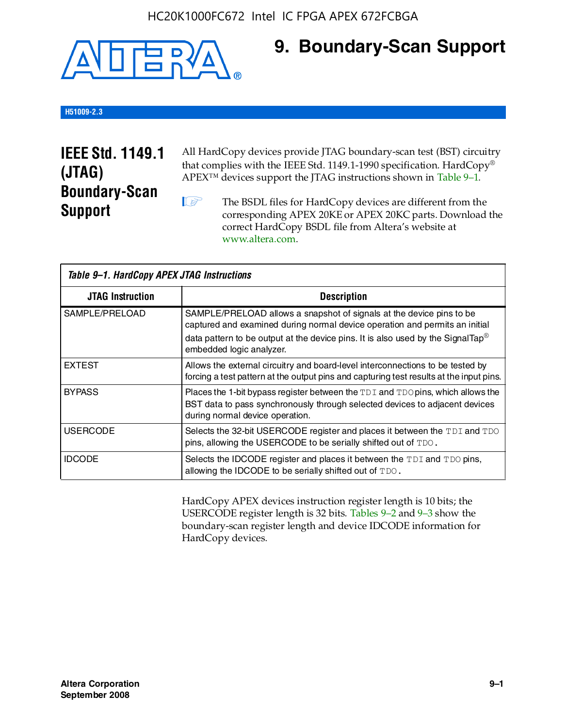

### **9. Boundary-Scan Support**

#### **H51009-2.3**

### **IEEE Std. 1149.1 (JTAG) Boundary-Scan Support**

All HardCopy devices provide JTAG boundary-scan test (BST) circuitry that complies with the IEEE Std. 1149.1-1990 specification. HardCopy® APEX™ devices support the JTAG instructions shown in Table 9–1.

**1 The BSDL files for HardCopy devices are different from the** corresponding APEX 20KE or APEX 20KC parts. Download the [correct HardCopy BSDL file from Altera's website at](http://www.altera.com)  www.altera.com.

| Table 9-1. HardCopy APEX JTAG Instructions |                                                                                                                                                                                                                                                                                |  |  |  |
|--------------------------------------------|--------------------------------------------------------------------------------------------------------------------------------------------------------------------------------------------------------------------------------------------------------------------------------|--|--|--|
| <b>JTAG Instruction</b>                    | <b>Description</b>                                                                                                                                                                                                                                                             |  |  |  |
| SAMPLE/PRELOAD                             | SAMPLE/PRELOAD allows a snapshot of signals at the device pins to be<br>captured and examined during normal device operation and permits an initial<br>data pattern to be output at the device pins. It is also used by the SignalTap <sup>®</sup><br>embedded logic analyzer. |  |  |  |
| <b>EXTEST</b>                              | Allows the external circuitry and board-level interconnections to be tested by<br>forcing a test pattern at the output pins and capturing test results at the input pins.                                                                                                      |  |  |  |
| <b>BYPASS</b>                              | Places the 1-bit bypass register between the TDI and TDO pins, which allows the<br>BST data to pass synchronously through selected devices to adjacent devices<br>during normal device operation.                                                                              |  |  |  |
| <b>USERCODE</b>                            | Selects the 32-bit USERCODE register and places it between the TDI and TDO<br>pins, allowing the USERCODE to be serially shifted out of TDO.                                                                                                                                   |  |  |  |
| <b>IDCODE</b>                              | Selects the IDCODE register and places it between the TDI and TDO pins,<br>allowing the IDCODE to be serially shifted out of TDO.                                                                                                                                              |  |  |  |

HardCopy APEX devices instruction register length is 10 bits; the USERCODE register length is 32 bits. Tables 9–2 and 9–3 show the boundary-scan register length and device IDCODE information for HardCopy devices.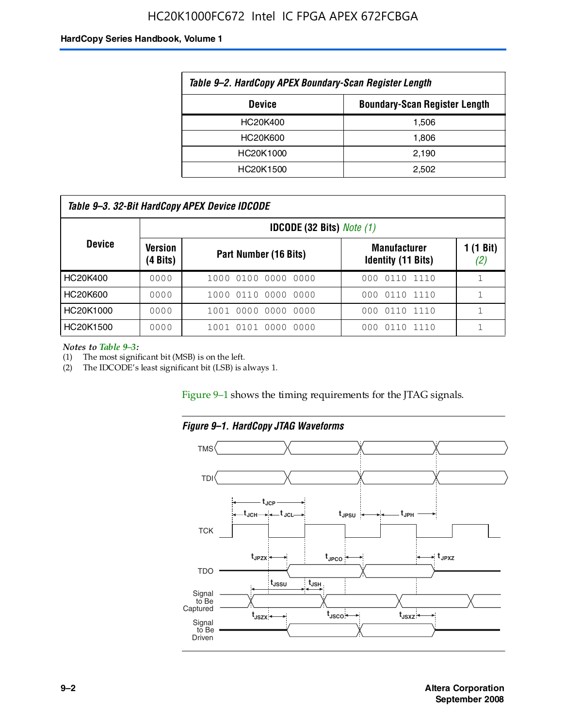### HC20K1000FC672 Intel IC FPGA APEX 672FCBGA

#### **HardCopy Series Handbook, Volume 1**

| Table 9–2. HardCopy APEX Boundary-Scan Register Length |       |  |  |  |
|--------------------------------------------------------|-------|--|--|--|
| <b>Boundary-Scan Register Length</b><br><b>Device</b>  |       |  |  |  |
| HC20K400                                               | 1,506 |  |  |  |
| HC20K600                                               | 1,806 |  |  |  |
| HC20K1000                                              | 2,190 |  |  |  |
| HC20K1500                                              | 2.502 |  |  |  |

| Table 9–3. 32-Bit HardCopy APEX Device IDCODE |                     |                        |                                                  |                  |  |
|-----------------------------------------------|---------------------|------------------------|--------------------------------------------------|------------------|--|
| <b>IDCODE (32 Bits)</b> <i>Note (1)</i>       |                     |                        |                                                  |                  |  |
| <b>Device</b>                                 | Version<br>(4 Bits) | Part Number (16 Bits)  | <b>Manufacturer</b><br><b>Identity (11 Bits)</b> | 1 (1 Bit)<br>(2) |  |
| HC20K400                                      | 0000                | 1000 0100 0000 0000    | 0110 1110<br>000                                 |                  |  |
| HC20K600                                      | 0000                | 1000 0110 0000 0000    | 000 0110 1110                                    |                  |  |
| HC20K1000                                     | 0000                | 1001 0000 0000 0000    | 000 0110 1110                                    |                  |  |
| HC20K1500                                     | 0000                | 1001 0101 0000<br>0000 | 0110 1110<br>000                                 |                  |  |

*Notes to Table 9–3:*

(1) The most significant bit (MSB) is on the left.

(2) The IDCODE's least significant bit (LSB) is always 1.

Figure 9–1 shows the timing requirements for the JTAG signals.



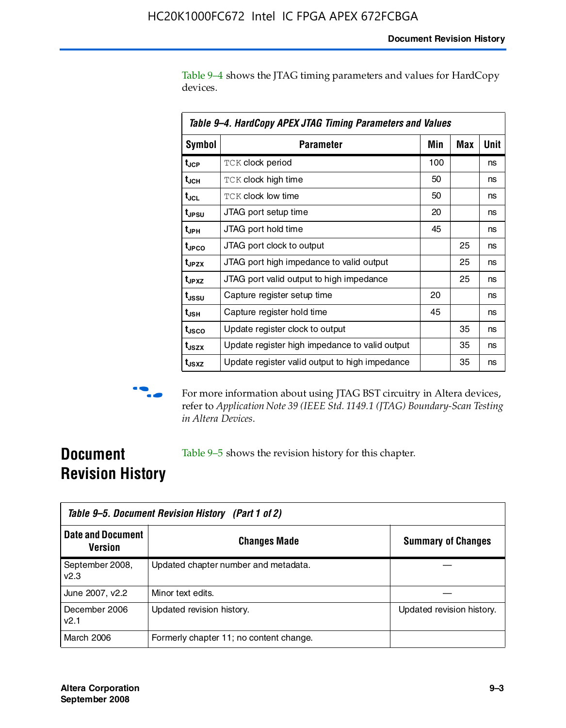Table 9–4 shows the JTAG timing parameters and values for HardCopy devices.

| Table 9-4. HardCopy APEX JTAG Timing Parameters and Values |                                                |     |     |      |  |
|------------------------------------------------------------|------------------------------------------------|-----|-----|------|--|
| <b>Symbol</b>                                              | <b>Parameter</b>                               | Min | Max | Unit |  |
| t <sub>JCP</sub>                                           | <b>TCK clock period</b>                        | 100 |     | ns   |  |
| t <sub>JCH</sub>                                           | <b>TCK clock high time</b>                     | 50  |     | ns   |  |
| t <sub>JCL</sub>                                           | <b>TCK clock low time</b>                      | 50  |     | ns   |  |
| t <sub>JPSU</sub>                                          | JTAG port setup time                           | 20  |     | ns   |  |
| $t_{\rm JPH}$                                              | JTAG port hold time                            | 45  |     | ns   |  |
| t <sub>JPCO</sub>                                          | JTAG port clock to output                      |     | 25  | ns   |  |
| t <sub>JPZX</sub>                                          | JTAG port high impedance to valid output       |     | 25  | ns   |  |
| t <sub>JPXZ</sub>                                          | JTAG port valid output to high impedance       |     | 25  | ns   |  |
| t <sub>JSSU</sub>                                          | Capture register setup time                    | 20  |     | ns   |  |
| t <sub>usн</sub>                                           | Capture register hold time                     | 45  |     | ns   |  |
| t <sub>usco</sub>                                          | Update register clock to output                |     | 35  | ns   |  |
| t <sub>JSZX</sub>                                          | Update register high impedance to valid output |     | 35  | ns   |  |
| t <sub>JSXZ</sub>                                          | Update register valid output to high impedance |     | 35  | ns   |  |



**f** For more information about using JTAG BST circuitry in Altera devices, refer to *Application Note 39 (IEEE Std. 1149.1 (JTAG) Boundary-Scan Testing in Altera Devices*.

### **Document Revision History**

Table 9–5 shows the revision history for this chapter.

| Table 9–5. Document Revision History (Part 1 of 2) |                                         |                           |  |
|----------------------------------------------------|-----------------------------------------|---------------------------|--|
| <b>Date and Document</b><br><b>Version</b>         | <b>Changes Made</b>                     | <b>Summary of Changes</b> |  |
| September 2008,<br>V <sub>2.3</sub>                | Updated chapter number and metadata.    |                           |  |
| June 2007, v2.2                                    | Minor text edits.                       |                           |  |
| December 2006<br>v2.1                              | Updated revision history.               | Updated revision history. |  |
| March 2006                                         | Formerly chapter 11; no content change. |                           |  |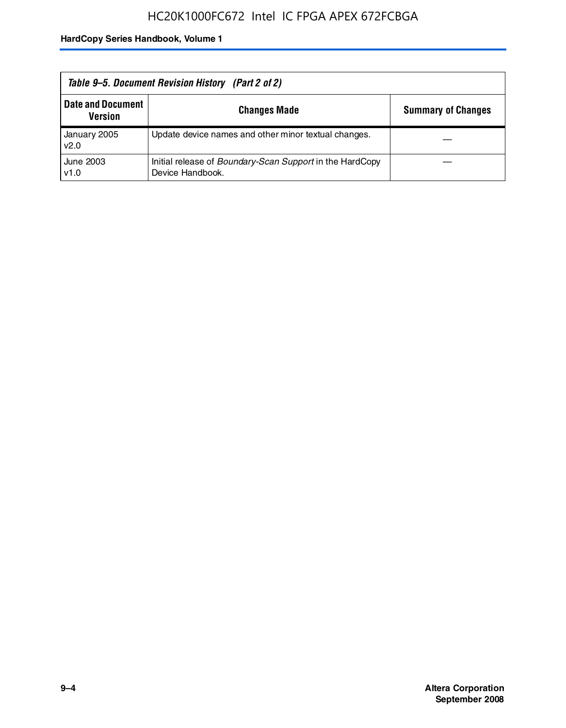| Table 9–5. Document Revision History (Part 2 of 2) |                                                                                     |                           |  |  |
|----------------------------------------------------|-------------------------------------------------------------------------------------|---------------------------|--|--|
| <b>Date and Document</b><br>Version                | <b>Changes Made</b>                                                                 | <b>Summary of Changes</b> |  |  |
| January 2005<br>v2.0                               | Update device names and other minor textual changes.                                |                           |  |  |
| June 2003<br>v1.0                                  | Initial release of <i>Boundary-Scan Support</i> in the HardCopy<br>Device Handbook. |                           |  |  |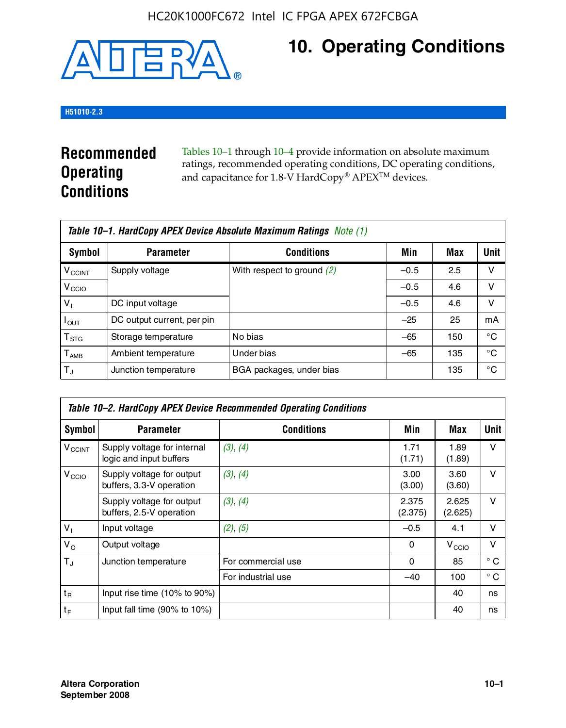

# **10. Operating Conditions**

#### **H51010-2.3**

### **Recommended Operating Conditions**

Tables 10–1 through 10–4 provide information on absolute maximum ratings, recommended operating conditions, DC operating conditions, and capacitance for 1.8-V HardCopy® APEX<sup>TM</sup> devices.

| Table 10–1. HardCopy APEX Device Absolute Maximum Ratings Note (1) |                            |                              |        |     |             |  |
|--------------------------------------------------------------------|----------------------------|------------------------------|--------|-----|-------------|--|
| Symbol                                                             | <b>Parameter</b>           | <b>Conditions</b>            | Min    | Max | <b>Unit</b> |  |
| <b>V<sub>CCINT</sub></b>                                           | Supply voltage             | With respect to ground $(2)$ | $-0.5$ | 2.5 | v           |  |
| V <sub>CCIO</sub>                                                  |                            |                              | $-0.5$ | 4.6 | ν           |  |
| $V_1$                                                              | DC input voltage           |                              | $-0.5$ | 4.6 | v           |  |
| $I_{OUT}$                                                          | DC output current, per pin |                              | $-25$  | 25  | mA          |  |
| $\mathsf{T}_{\text{STG}}$                                          | Storage temperature        | No bias                      | $-65$  | 150 | °€          |  |
| $T_{\sf AMB}$                                                      | Ambient temperature        | Under bias                   | $-65$  | 135 | °C          |  |
| $T_{\rm J}$                                                        | Junction temperature       | BGA packages, under bias     |        | 135 | °C          |  |

|                    | Table 10–2. HardCopy APEX Device Recommended Operating Conditions |                    |                  |                   |              |  |  |
|--------------------|-------------------------------------------------------------------|--------------------|------------------|-------------------|--------------|--|--|
| Symbol             | <b>Parameter</b>                                                  | <b>Conditions</b>  | Min              | Max               | Unit         |  |  |
| $V_{\text{CCINT}}$ | Supply voltage for internal<br>logic and input buffers            | (3), (4)           | 1.71<br>(1.71)   | 1.89<br>(1.89)    | $\vee$       |  |  |
| V <sub>CCIO</sub>  | Supply voltage for output<br>buffers, 3.3-V operation             | (3), (4)           | 3.00<br>(3.00)   | 3.60<br>(3.60)    | $\vee$       |  |  |
|                    | Supply voltage for output<br>buffers, 2.5-V operation             | (3), (4)           | 2.375<br>(2.375) | 2.625<br>(2.625)  | $\vee$       |  |  |
| $V_1$              | Input voltage                                                     | (2), (5)           | $-0.5$           | 4.1               | $\vee$       |  |  |
| $V_{\rm O}$        | Output voltage                                                    |                    | 0                | V <sub>CCIO</sub> | $\vee$       |  |  |
| $T_{\rm J}$        | Junction temperature                                              | For commercial use | 0                | 85                | $^{\circ}$ C |  |  |
|                    |                                                                   | For industrial use | $-40$            | 100               | $^{\circ}$ C |  |  |
| $t_{R}$            | Input rise time (10% to 90%)                                      |                    |                  | 40                | ns           |  |  |
| $t_F$              | Input fall time $(90\% \text{ to } 10\%)$                         |                    |                  | 40                | ns           |  |  |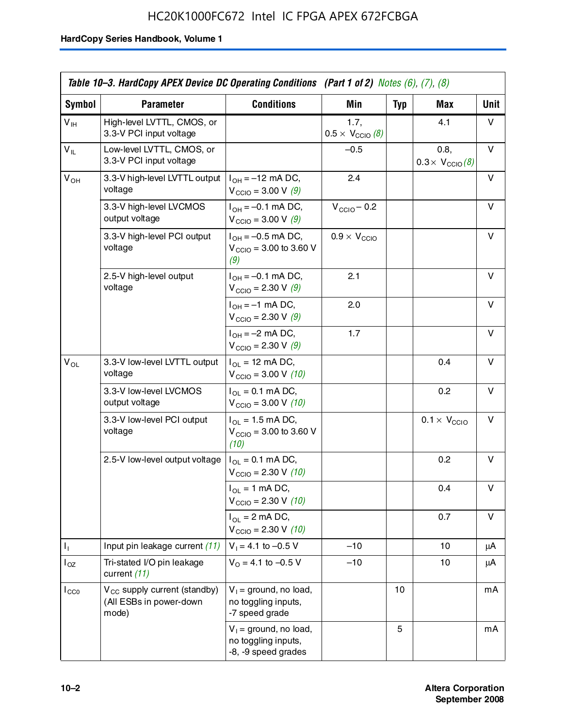|                 | Table 10–3. HardCopy APEX Device DC Operating Conditions (Part 1 of 2) Notes $(6)$ , $(7)$ , $(8)$ |                                                                        |                                          |     |                                         |      |
|-----------------|----------------------------------------------------------------------------------------------------|------------------------------------------------------------------------|------------------------------------------|-----|-----------------------------------------|------|
| Symbol          | <b>Parameter</b>                                                                                   | <b>Conditions</b>                                                      | Min                                      | Typ | Max                                     | Unit |
| $V_{\text{IH}}$ | High-level LVTTL, CMOS, or<br>3.3-V PCI input voltage                                              |                                                                        | 1.7,<br>$0.5 \times V_{\text{CCIO}}$ (8) |     | 4.1                                     | v    |
| $V_{IL}$        | Low-level LVTTL. CMOS. or<br>3.3-V PCI input voltage                                               |                                                                        | $-0.5$                                   |     | 0.8,<br>$0.3 \times V_{\text{CCIO}}(8)$ | v    |
| $V_{OH}$        | 3.3-V high-level LVTTL output<br>voltage                                                           | $I_{OH} = -12$ mA DC,<br>$V_{\text{CCIO}} = 3.00 \text{ V} (9)$        | 2.4                                      |     |                                         | v    |
|                 | 3.3-V high-level LVCMOS<br>output voltage                                                          | $I_{OH} = -0.1$ mA DC,<br>$V_{\text{CCIO}} = 3.00 \text{ V} (9)$       | $V_{\text{CCIO}} - 0.2$                  |     |                                         | v    |
|                 | 3.3-V high-level PCI output<br>voltage                                                             | $I_{OH} = -0.5$ mA DC,<br>$V_{\text{CCIO}} = 3.00$ to 3.60 V<br>(9)    | $0.9 \times V_{\text{CCIO}}$             |     |                                         | v    |
|                 | 2.5-V high-level output<br>voltage                                                                 | $I_{OH} = -0.1$ mA DC,<br>$V_{\text{CCIO}} = 2.30 V (9)$               | 2.1                                      |     |                                         | v    |
|                 |                                                                                                    | $I_{OH} = -1$ mA DC,<br>$V_{\text{CCIO}} = 2.30 \text{ V} (9)$         | 2.0                                      |     |                                         | v    |
|                 |                                                                                                    | $I_{OH} = -2$ mA DC,<br>$V_{\text{CCIO}} = 2.30 \text{ V} (9)$         | 1.7                                      |     |                                         | v    |
| $V_{OL}$        | 3.3-V low-level LVTTL output<br>voltage                                                            | $I_{OL}$ = 12 mA DC,<br>$V_{\text{CCIO}} = 3.00 V (10)$                |                                          |     | 0.4                                     | v    |
|                 | 3.3-V low-level LVCMOS<br>output voltage                                                           | $I_{OL} = 0.1$ mA DC,<br>$V_{\text{CCIO}} = 3.00 \text{ V} (10)$       |                                          |     | 0.2                                     | v    |
|                 | 3.3-V low-level PCI output<br>voltage                                                              | $I_{OL}$ = 1.5 mA DC,<br>$V_{\text{CCIO}} = 3.00$ to 3.60 V<br>(10)    |                                          |     | $0.1 \times V_{\text{CCIO}}$            | v    |
|                 | 2.5-V low-level output voltage                                                                     | $I_{OL} = 0.1$ mA DC,<br>$V_{\text{CCIO}} = 2.30 \text{ V} (10)$       |                                          |     | 0.2                                     | v    |
|                 |                                                                                                    | $I_{OL}$ = 1 mA DC,<br>$V_{\text{CCIO}} = 2.30 V (10)$                 |                                          |     | 0.4                                     | v    |
|                 |                                                                                                    | $I_{OL}$ = 2 mA DC,<br>$V_{\text{CCIO}} = 2.30 \text{ V} (10)$         |                                          |     | 0.7                                     | v    |
| Ъ.              | Input pin leakage current (11)                                                                     | $V_1 = 4.1$ to $-0.5$ V                                                | $-10$                                    |     | 10                                      | μA   |
| $I_{OZ}$        | Tri-stated I/O pin leakage<br>current (11)                                                         | $V_0 = 4.1$ to $-0.5$ V                                                | $-10$                                    |     | 10                                      | μA   |
| $I_{CC0}$       | V <sub>CC</sub> supply current (standby)<br>(All ESBs in power-down<br>mode)                       | $V_1$ = ground, no load,<br>no toggling inputs,<br>-7 speed grade      |                                          | 10  |                                         | mA   |
|                 |                                                                                                    | $V_1$ = ground, no load,<br>no toggling inputs,<br>-8, -9 speed grades |                                          | 5   |                                         | mA   |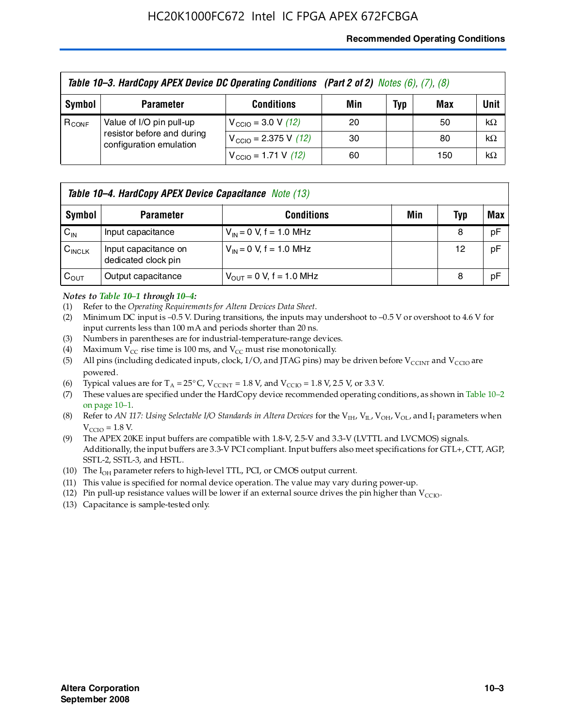#### **Recommended Operating Conditions**

|            | Table 10-3. HardCopy APEX Device DC Operating Conditions (Part 2 of 2) Notes (6), (7), (8) |                                          |     |     |     |           |  |
|------------|--------------------------------------------------------------------------------------------|------------------------------------------|-----|-----|-----|-----------|--|
| Symbol     | <b>Parameter</b>                                                                           | <b>Conditions</b>                        | Min | Typ | Max | Unit      |  |
| $R_{CONF}$ | Value of I/O pin pull-up<br>resistor before and during<br>configuration emulation          | $V_{\text{CCIO}} = 3.0 \text{ V} (12)$   | 20  |     | 50  | $k\Omega$ |  |
|            |                                                                                            | $V_{\text{CCIO}} = 2.375 \text{ V}$ (12) | 30  |     | 80  | $k\Omega$ |  |
|            |                                                                                            | $V_{\text{CCIO}} = 1.71 \text{ V}$ (12)  | 60  |     | 150 | $k\Omega$ |  |

|                    | <b>Table 10–4. HardCopy APEX Device Capacitance</b> Note (13) |                              |     |            |     |  |
|--------------------|---------------------------------------------------------------|------------------------------|-----|------------|-----|--|
| Symbol             | <b>Parameter</b>                                              | <b>Conditions</b>            | Min | <b>Typ</b> | Max |  |
| $C_{\text{IN}}$    | Input capacitance                                             | $V_{IN} = 0$ V, f = 1.0 MHz  |     | 8          | pF  |  |
| $C_{\text{INCLK}}$ | Input capacitance on<br>dedicated clock pin                   | $V_{IN} = 0$ V, f = 1.0 MHz  |     | 12         | pF  |  |
| $C_{OUT}$          | Output capacitance                                            | $V_{OUT} = 0$ V, f = 1.0 MHz |     | 8          | pF  |  |

#### *Notes to Table 10–1 through 10–4:*

- (1) Refer to the *Operating Requirements for Altera Devices Data Sheet*.
- (2) Minimum DC input is –0.5 V. During transitions, the inputs may undershoot to –0.5 V or overshoot to 4.6 V for input currents less than 100 mA and periods shorter than 20 ns.
- (3) Numbers in parentheses are for industrial-temperature-range devices.
- (4) Maximum  $V_{CC}$  rise time is 100 ms, and  $V_{CC}$  must rise monotonically.
- (5) All pins (including dedicated inputs, clock, I/O, and JTAG pins) may be driven before  $V_{\text{CCINT}}$  and  $V_{\text{CCIO}}$  are powered.
- (6) Typical values are for  $T_A = 25^{\circ}$  C,  $V_{CCTNT} = 1.8$  V, and  $V_{CCTO} = 1.8$  V, 2.5 V, or 3.3 V.
- (7) These values are specified under the HardCopy device recommended operating conditions, as shown in Table 10–2 on page 10–1.
- (8) Refer to *AN 117: Using Selectable I/O Standards in Altera Devices* for the V<sub>IH</sub>, V<sub>IL</sub>, V<sub>OH</sub>, V<sub>OL</sub>, and I<sub>I</sub> parameters when  $V_{\text{CCIO}} = 1.8 \text{ V}$ .
- (9) The APEX 20KE input buffers are compatible with 1.8-V, 2.5-V and 3.3-V (LVTTL and LVCMOS) signals. Additionally, the input buffers are 3.3-V PCI compliant. Input buffers also meet specifications for GTL+, CTT, AGP, SSTL-2, SSTL-3, and HSTL.
- (10) The  $I_{OH}$  parameter refers to high-level TTL, PCI, or CMOS output current.
- (11) This value is specified for normal device operation. The value may vary during power-up.
- (12) Pin pull-up resistance values will be lower if an external source drives the pin higher than  $V_{CCIO}$ .
- (13) Capacitance is sample-tested only.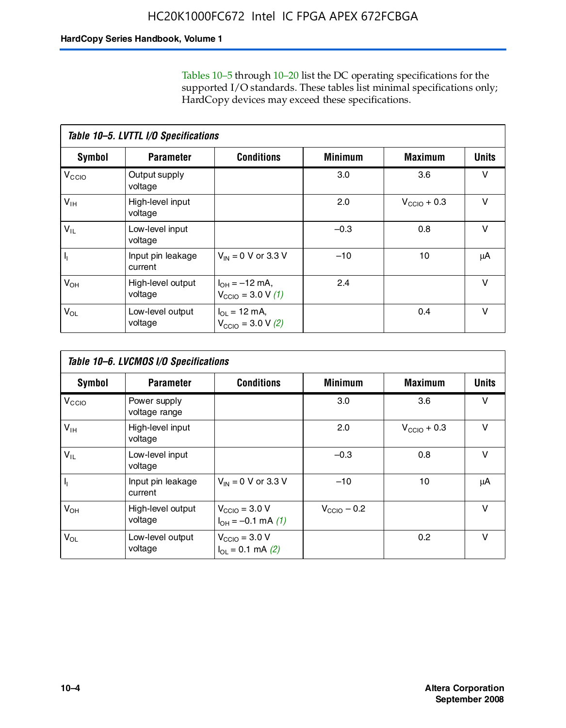Tables 10–5 through 10–20 list the DC operating specifications for the supported I/O standards. These tables list minimal specifications only; HardCopy devices may exceed these specifications.

|                           | Table 10-5. LVTTL I/O Specifications |                                                                 |                |                         |              |  |  |  |  |
|---------------------------|--------------------------------------|-----------------------------------------------------------------|----------------|-------------------------|--------------|--|--|--|--|
| Symbol                    | <b>Parameter</b>                     | <b>Conditions</b>                                               | <b>Minimum</b> | <b>Maximum</b>          | <b>Units</b> |  |  |  |  |
| V <sub>CCIO</sub>         | Output supply<br>voltage             |                                                                 | 3.0            | 3.6                     | $\vee$       |  |  |  |  |
| $V_{\text{IH}}$           | High-level input<br>voltage          |                                                                 | 2.0            | $V_{\text{CCIO}} + 0.3$ | $\vee$       |  |  |  |  |
| $V_{IL}$                  | Low-level input<br>voltage           |                                                                 | $-0.3$         | 0.8                     | v            |  |  |  |  |
| $\mathsf{I}_{\mathsf{I}}$ | Input pin leakage<br>current         | $V_{IN} = 0$ V or 3.3 V                                         | $-10$          | 10                      | μA           |  |  |  |  |
| $V_{OH}$                  | High-level output<br>voltage         | $I_{OH} = -12$ mA,<br>$V_{\text{CCIO}} = 3.0 V(1)$              | 2.4            |                         | v            |  |  |  |  |
| $V_{OL}$                  | Low-level output<br>voltage          | $I_{\Omega I} = 12 \text{ mA}$<br>$V_{\text{CCIO}} = 3.0 V (2)$ |                | 0.4                     | $\vee$       |  |  |  |  |

|                   | Table 10-6. LVCMOS I/O Specifications |                                                           |                         |                         |              |  |  |  |  |
|-------------------|---------------------------------------|-----------------------------------------------------------|-------------------------|-------------------------|--------------|--|--|--|--|
| <b>Symbol</b>     | <b>Parameter</b>                      | <b>Conditions</b>                                         | <b>Minimum</b>          | <b>Maximum</b>          | <b>Units</b> |  |  |  |  |
| V <sub>CCIO</sub> | Power supply<br>voltage range         |                                                           | 3.0                     | 3.6                     | v            |  |  |  |  |
| $V_{\text{IH}}$   | High-level input<br>voltage           |                                                           | 2.0                     | $V_{\text{CCIO}} + 0.3$ | $\vee$       |  |  |  |  |
| $V_{IL}$          | Low-level input<br>voltage            |                                                           | $-0.3$                  | 0.8                     | $\vee$       |  |  |  |  |
| H,                | Input pin leakage<br>current          | $V_{IN} = 0$ V or 3.3 V                                   | $-10$                   | 10                      | μA           |  |  |  |  |
| $V_{OH}$          | High-level output<br>voltage          | $V_{\text{CCIO}} = 3.0 V$<br>$I_{OH} = -0.1$ mA $(1)$     | $V_{\text{CCIO}} - 0.2$ |                         | $\vee$       |  |  |  |  |
| $V_{OL}$          | Low-level output<br>voltage           | $V_{\text{CCIO}} = 3.0 V$<br>$I_{\text{OL}} = 0.1$ mA (2) |                         | 0.2                     | $\vee$       |  |  |  |  |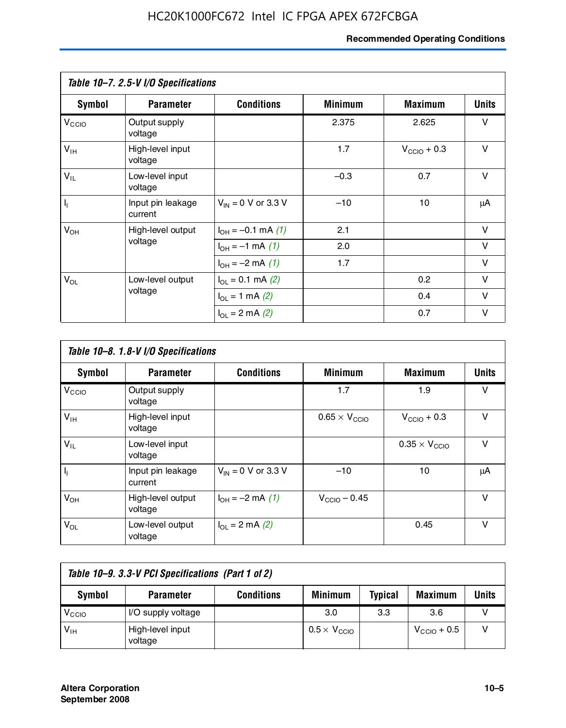#### **Recommended Operating Conditions**

|                         | Table 10-7. 2.5-V I/O Specifications |                                      |                |                         |              |
|-------------------------|--------------------------------------|--------------------------------------|----------------|-------------------------|--------------|
| Symbol                  | <b>Parameter</b>                     | <b>Conditions</b>                    | <b>Minimum</b> | <b>Maximum</b>          | <b>Units</b> |
| V <sub>CCIO</sub>       | Output supply<br>voltage             |                                      | 2.375          | 2.625                   | v            |
| $V_{\text{IH}}$         | High-level input<br>voltage          |                                      | 1.7            | $V_{\text{CCIO}} + 0.3$ | $\vee$       |
| $V_{IL}$                | Low-level input<br>voltage           |                                      | $-0.3$         | 0.7                     | $\vee$       |
| $\mathsf{I}_\mathrm{I}$ | Input pin leakage<br>current         | $V_{IN} = 0$ V or 3.3 V              | $-10$          | 10                      | μA           |
| $V_{OH}$                | High-level output                    | $I_{OH} = -0.1$ mA $(1)$             | 2.1            |                         | $\vee$       |
|                         | voltage                              | $I_{OH} = -1$ mA $(1)$               | 2.0            |                         | V            |
|                         |                                      | $I_{OH} = -2$ mA (1)                 | 1.7            |                         | $\vee$       |
| $V_{OL}$                | Low-level output                     | $I_{\text{OL}} = 0.1 \text{ mA}$ (2) |                | 0.2                     | v            |
|                         | voltage                              | $I_{OL} = 1$ mA (2)                  |                | 0.4                     | $\vee$       |
|                         |                                      | $I_{\Omega I} = 2$ mA (2)            |                | 0.7                     | v            |

|                   | Table 10-8. 1.8-V I/O Specifications |                         |                               |                               |              |  |  |  |  |
|-------------------|--------------------------------------|-------------------------|-------------------------------|-------------------------------|--------------|--|--|--|--|
| Symbol            | <b>Parameter</b>                     | <b>Conditions</b>       | <b>Minimum</b>                | <b>Maximum</b>                | <b>Units</b> |  |  |  |  |
| V <sub>CCIO</sub> | Output supply<br>voltage             |                         | 1.7                           | 1.9                           | v            |  |  |  |  |
| $V_{IH}$          | High-level input<br>voltage          |                         | $0.65 \times V_{\text{CCIO}}$ | $V_{\text{CCIO}} + 0.3$       | v            |  |  |  |  |
| $V_{IL}$          | Low-level input<br>voltage           |                         |                               | $0.35 \times V_{\text{CCIO}}$ | $\vee$       |  |  |  |  |
| $\mathbf{l}_{1}$  | Input pin leakage<br>current         | $V_{IN} = 0$ V or 3.3 V | $-10$                         | 10                            | μA           |  |  |  |  |
| $V_{OH}$          | High-level output<br>voltage         | $I_{OH} = -2$ mA (1)    | $V_{\text{CCIO}} - 0.45$      |                               | v            |  |  |  |  |
| $V_{OL}$          | Low-level output<br>voltage          | $I_{\Omega}$ = 2 mA (2) |                               | 0.45                          | $\vee$       |  |  |  |  |

| Table 10-9. 3.3-V PCI Specifications (Part 1 of 2) |                             |                   |                              |                |                         |       |  |
|----------------------------------------------------|-----------------------------|-------------------|------------------------------|----------------|-------------------------|-------|--|
| Symbol                                             | <b>Parameter</b>            | <b>Conditions</b> | <b>Minimum</b>               | <b>Typical</b> | <b>Maximum</b>          | Units |  |
| V <sub>CIO</sub>                                   | I/O supply voltage          |                   | 3.0                          | 3.3            | 3.6                     |       |  |
| $V_{\text{IH}}$                                    | High-level input<br>voltage |                   | $0.5 \times V_{\text{CCIO}}$ |                | $V_{\text{CCIO}} + 0.5$ |       |  |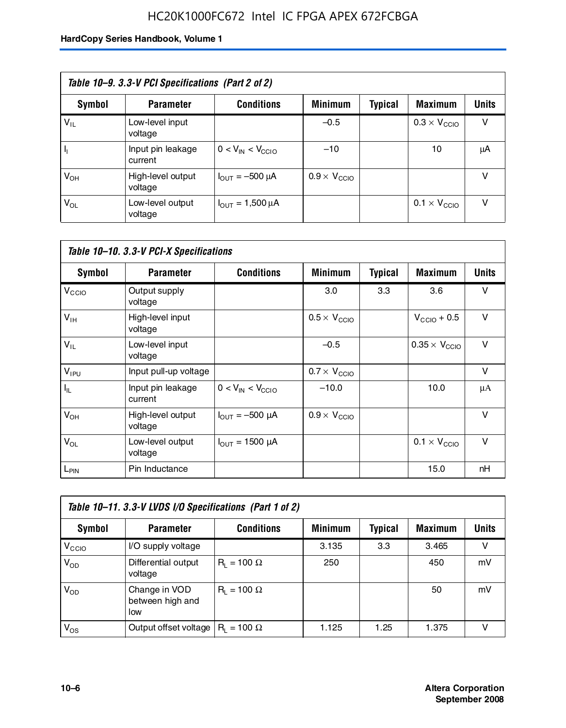### HC20K1000FC672 Intel IC FPGA APEX 672FCBGA

| Table 10–9. 3.3-V PCI Specifications (Part 2 of 2) |                              |                                        |                              |         |                              |              |  |
|----------------------------------------------------|------------------------------|----------------------------------------|------------------------------|---------|------------------------------|--------------|--|
| Symbol                                             | <b>Parameter</b>             | <b>Conditions</b>                      | <b>Minimum</b>               | Typical | <b>Maximum</b>               | <b>Units</b> |  |
| $V_{IL}$                                           | Low-level input<br>voltage   |                                        | $-0.5$                       |         | $0.3 \times V_{\text{CCIO}}$ | v            |  |
|                                                    | Input pin leakage<br>current | $0 < V_{IN} < V_{CCIO}$                | $-10$                        |         | 10                           | μA           |  |
| $V_{OH}$                                           | High-level output<br>voltage | $I_{\text{OUT}} = -500 \mu A$          | $0.9 \times V_{\text{CCIO}}$ |         |                              | v            |  |
| $V_{OL}$                                           | Low-level output<br>voltage  | $I_{\text{OUT}} = 1,500 \,\mu\text{A}$ |                              |         | $0.1 \times V_{\text{CCIO}}$ | v            |  |

| Table 10-10. 3.3-V PCI-X Specifications |                              |                               |                              |                |                               |              |  |
|-----------------------------------------|------------------------------|-------------------------------|------------------------------|----------------|-------------------------------|--------------|--|
| <b>Symbol</b>                           | <b>Parameter</b>             | <b>Conditions</b>             | <b>Minimum</b>               | <b>Typical</b> | <b>Maximum</b>                | <b>Units</b> |  |
| V <sub>CCIO</sub>                       | Output supply<br>voltage     |                               | 3.0                          | 3.3            | 3.6                           | v            |  |
| V <sub>IH</sub>                         | High-level input<br>voltage  |                               | $0.5 \times V_{\text{CCIO}}$ |                | $V_{\text{CCIO}} + 0.5$       | $\vee$       |  |
| $V_{IL}$                                | Low-level input<br>voltage   |                               | $-0.5$                       |                | $0.35 \times V_{\text{CCIO}}$ | $\vee$       |  |
| $V_{IPU}$                               | Input pull-up voltage        |                               | $0.7 \times V_{\text{CCIO}}$ |                |                               | $\vee$       |  |
| $I_{\rm IL}$                            | Input pin leakage<br>current | $0 < V_{IN} < V_{CGIO}$       | $-10.0$                      |                | 10.0                          | μA           |  |
| $V_{OH}$                                | High-level output<br>voltage | $I_{\text{OUT}} = -500 \mu A$ | $0.9 \times V_{\text{CCIO}}$ |                |                               | $\vee$       |  |
| $V_{OL}$                                | Low-level output<br>voltage  | $I_{\text{OUT}} = 1500 \mu A$ |                              |                | $0.1 \times V_{\text{CCIO}}$  | $\vee$       |  |
| L <sub>PIN</sub>                        | Pin Inductance               |                               |                              |                | 15.0                          | nH           |  |

| Table 10-11. 3.3-V LVDS I/O Specifications (Part 1 of 2) |                                           |                    |                |                |                |              |  |
|----------------------------------------------------------|-------------------------------------------|--------------------|----------------|----------------|----------------|--------------|--|
| Symbol                                                   | <b>Parameter</b>                          | <b>Conditions</b>  | <b>Minimum</b> | <b>Typical</b> | <b>Maximum</b> | <b>Units</b> |  |
| V <sub>CCIO</sub>                                        | I/O supply voltage                        |                    | 3.135          | 3.3            | 3.465          | v            |  |
| $V_{OD}$                                                 | Differential output<br>voltage            | $R_1 = 100 \Omega$ | 250            |                | 450            | mV           |  |
| $V_{OD}$                                                 | Change in VOD<br>between high and<br>low  | $R_1 = 100 \Omega$ |                |                | 50             | mV           |  |
| $V_{OS}$                                                 | Output offset voltage $ R_1 = 100 \Omega$ |                    | 1.125          | 1.25           | 1.375          |              |  |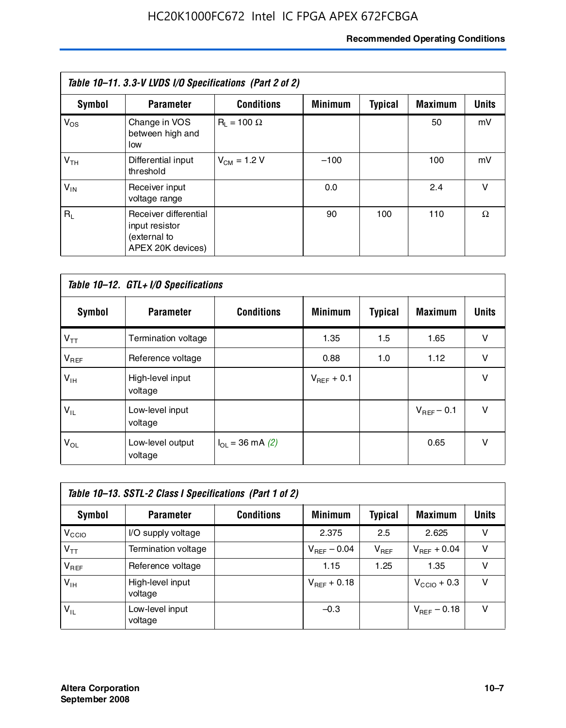#### **Recommended Operating Conditions**

| Table 10–11. 3.3-V LVDS I/O Specifications (Part 2 of 2) |                                                                              |                    |                |                |                |              |  |
|----------------------------------------------------------|------------------------------------------------------------------------------|--------------------|----------------|----------------|----------------|--------------|--|
| Symbol                                                   | <b>Parameter</b>                                                             | <b>Conditions</b>  | <b>Minimum</b> | <b>Typical</b> | <b>Maximum</b> | <b>Units</b> |  |
| $V_{OS}$                                                 | Change in VOS<br>between high and<br>low                                     | $R_1 = 100 \Omega$ |                |                | 50             | mV           |  |
| V <sub>TH</sub>                                          | Differential input<br>threshold                                              | $V_{CM} = 1.2 V$   | $-100$         |                | 100            | mV           |  |
| $V_{IN}$                                                 | Receiver input<br>voltage range                                              |                    | 0.0            |                | 2.4            | $\vee$       |  |
| $R_1$                                                    | Receiver differential<br>input resistor<br>(external to<br>APEX 20K devices) |                    | 90             | 100            | 110            | Ω            |  |

| Table 10-12. GTL+ I/O Specifications |                             |                          |                 |                |                 |              |  |
|--------------------------------------|-----------------------------|--------------------------|-----------------|----------------|-----------------|--------------|--|
| <b>Symbol</b>                        | <b>Parameter</b>            | <b>Conditions</b>        | <b>Minimum</b>  | <b>Typical</b> | <b>Maximum</b>  | <b>Units</b> |  |
| $V_{TT}$                             | Termination voltage         |                          | 1.35            | 1.5            | 1.65            | v            |  |
| $V_{REF}$                            | Reference voltage           |                          | 0.88            | 1.0            | 1.12            | v            |  |
| $V_{IH}$                             | High-level input<br>voltage |                          | $V_{REF}$ + 0.1 |                |                 | $\vee$       |  |
| $V_{IL}$                             | Low-level input<br>voltage  |                          |                 |                | $V_{BFF}$ – 0.1 | $\vee$       |  |
| $V_{OL}$                             | Low-level output<br>voltage | $I_{\Omega}$ = 36 mA (2) |                 |                | 0.65            | v            |  |

| Table 10–13. SSTL-2 Class I Specifications (Part 1 of 2) |                             |                   |                  |           |                         |              |  |
|----------------------------------------------------------|-----------------------------|-------------------|------------------|-----------|-------------------------|--------------|--|
| Symbol                                                   | <b>Parameter</b>            | <b>Conditions</b> | <b>Minimum</b>   | Typical   | <b>Maximum</b>          | <b>Units</b> |  |
| V <sub>CCIO</sub>                                        | I/O supply voltage          |                   | 2.375            | 2.5       | 2.625                   | v            |  |
| $V_{TT}$                                                 | Termination voltage         |                   | $V_{REF}$ – 0.04 | $V_{REF}$ | $V_{REF}$ + 0.04        | v            |  |
| $V_{BEF}$                                                | Reference voltage           |                   | 1.15             | 1.25      | 1.35                    | v            |  |
| $V_{IH}$                                                 | High-level input<br>voltage |                   | $V_{REF}$ + 0.18 |           | $V_{\text{CCIO}} + 0.3$ | v            |  |
| $V_{\rm IL}$                                             | Low-level input<br>voltage  |                   | $-0.3$           |           | $V_{BFE}$ – 0.18        | v            |  |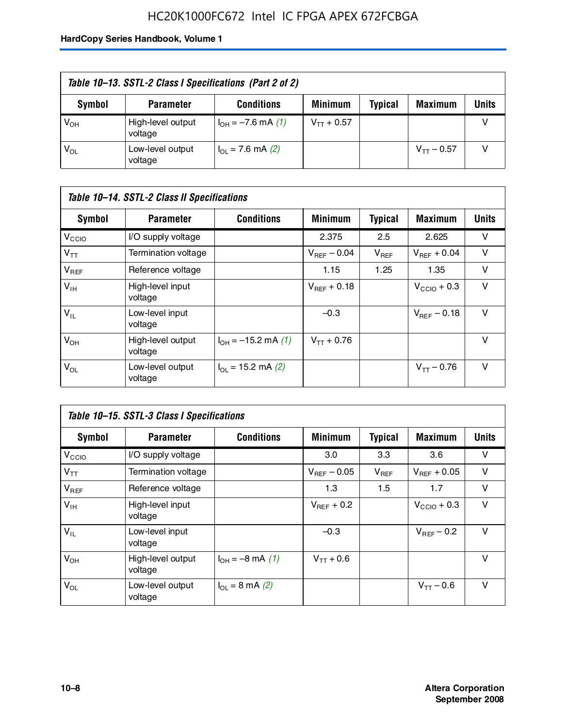### HC20K1000FC672 Intel IC FPGA APEX 672FCBGA

| Table 10–13. SSTL-2 Class I Specifications (Part 2 of 2) |                              |                           |                 |         |                 |              |  |
|----------------------------------------------------------|------------------------------|---------------------------|-----------------|---------|-----------------|--------------|--|
| Symbol                                                   | <b>Parameter</b>             | <b>Conditions</b>         | <b>Minimum</b>  | Typical | <b>Maximum</b>  | <b>Units</b> |  |
| V <sub>он</sub>                                          | High-level output<br>voltage | $I_{OH} = -7.6$ mA (1)    | $V_{TT} + 0.57$ |         |                 |              |  |
| $\mathsf{V}_{\mathsf{OL}}$                               | Low-level output<br>voltage  | $I_{\Omega}$ = 7.6 mA (2) |                 |         | $V_{TT} - 0.57$ |              |  |

| Table 10–14. SSTL-2 Class II Specifications |                              |                            |                  |                |                  |              |  |
|---------------------------------------------|------------------------------|----------------------------|------------------|----------------|------------------|--------------|--|
| <b>Symbol</b>                               | <b>Parameter</b>             | <b>Conditions</b>          | <b>Minimum</b>   | <b>Typical</b> | <b>Maximum</b>   | <b>Units</b> |  |
| V <sub>CCIO</sub>                           | I/O supply voltage           |                            | 2.375            | 2.5            | 2.625            | v            |  |
| $V_{TT}$                                    | Termination voltage          |                            | $V_{BFF}$ – 0.04 | $V_{REF}$      | $V_{BFF}$ + 0.04 | v            |  |
| $V_{REF}$                                   | Reference voltage            |                            | 1.15             | 1.25           | 1.35             | v            |  |
| $V_{IH}$                                    | High-level input<br>voltage  |                            | $V_{BFF}$ + 0.18 |                | $V_{CCD}$ + 0.3  | v            |  |
| $V_{IL}$                                    | Low-level input<br>voltage   |                            | $-0.3$           |                | $V_{BFE} - 0.18$ | $\vee$       |  |
| $V_{OH}$                                    | High-level output<br>voltage | $I_{OH} = -15.2$ mA (1)    | $V_{TT} + 0.76$  |                |                  | v            |  |
| $V_{OL}$                                    | Low-level output<br>voltage  | $I_{\Omega}$ = 15.2 mA (2) |                  |                | $V_{TT} - 0.76$  | v            |  |

| Table 10-15. SSTL-3 Class I Specifications |                              |                         |                         |                |                         |              |  |
|--------------------------------------------|------------------------------|-------------------------|-------------------------|----------------|-------------------------|--------------|--|
| <b>Symbol</b>                              | <b>Parameter</b>             | <b>Conditions</b>       | <b>Minimum</b>          | <b>Typical</b> | <b>Maximum</b>          | <b>Units</b> |  |
| V <sub>CCIO</sub>                          | I/O supply voltage           |                         | 3.0                     | 3.3            | 3.6                     | v            |  |
| $V_{TT}$                                   | Termination voltage          |                         | $V_{\text{BFF}}$ – 0.05 | $V_{REF}$      | $V_{BFF}$ + 0.05        | v            |  |
| $V_{REF}$                                  | Reference voltage            |                         | 1.3                     | 1.5            | 1.7                     | v            |  |
| $V_{\text{IH}}$                            | High-level input<br>voltage  |                         | $V_{BFF}$ + 0.2         |                | $V_{\text{CCIO}} + 0.3$ | v            |  |
| $V_{IL}$                                   | Low-level input<br>voltage   |                         | $-0.3$                  |                | $V_{BFF}$ – 0.2         | v            |  |
| $V_{OH}$                                   | High-level output<br>voltage | $I_{OH} = -8$ mA (1)    | $V_{TT} + 0.6$          |                |                         | v            |  |
| $V_{OL}$                                   | Low-level output<br>voltage  | $I_{\Omega}$ = 8 mA (2) |                         |                | $V_{TT} - 0.6$          | v            |  |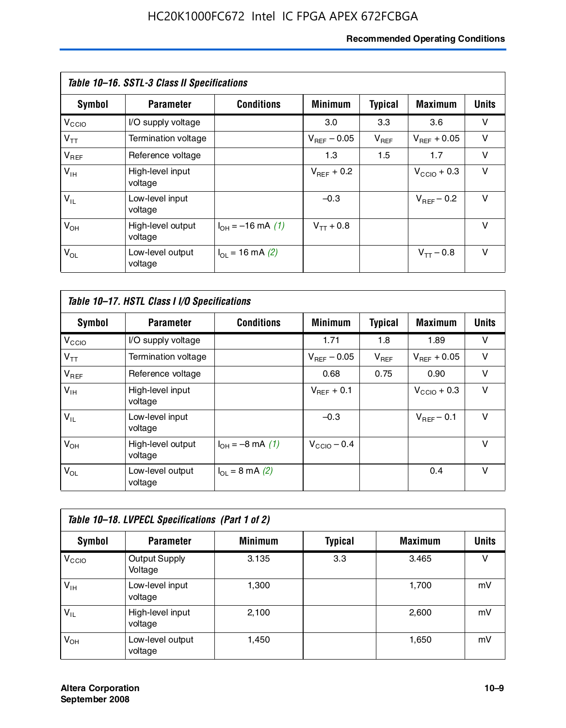#### **Recommended Operating Conditions**

| Table 10–16. SSTL-3 Class II Specifications |                              |                          |                         |                |                  |              |  |
|---------------------------------------------|------------------------------|--------------------------|-------------------------|----------------|------------------|--------------|--|
| Symbol                                      | <b>Parameter</b>             | <b>Conditions</b>        | <b>Minimum</b>          | <b>Typical</b> | <b>Maximum</b>   | <b>Units</b> |  |
| V <sub>CCIO</sub>                           | I/O supply voltage           |                          | 3.0                     | 3.3            | 3.6              | v            |  |
| $V_{TT}$                                    | Termination voltage          |                          | $V_{\text{BFE}} - 0.05$ | $V_{REF}$      | $V_{BFF}$ + 0.05 | v            |  |
| $V_{REF}$                                   | Reference voltage            |                          | 1.3                     | 1.5            | 1.7              | v            |  |
| $V_{IH}$                                    | High-level input<br>voltage  |                          | $V_{BFF}$ + 0.2         |                | $V_{CCD}$ + 0.3  | v            |  |
| $V_{IL}$                                    | Low-level input<br>voltage   |                          | $-0.3$                  |                | $V_{BFF}$ – 0.2  | $\vee$       |  |
| $V_{OH}$                                    | High-level output<br>voltage | $I_{OH} = -16$ mA (1)    | $V_{TT}$ + 0.8          |                |                  | v            |  |
| $V_{OL}$                                    | Low-level output<br>voltage  | $I_{\Omega}$ = 16 mA (2) |                         |                | $V_{TT} - 0.8$   | v            |  |

| Table 10-17. HSTL Class I I/O Specifications |                              |                             |                         |                |                  |              |  |
|----------------------------------------------|------------------------------|-----------------------------|-------------------------|----------------|------------------|--------------|--|
| Symbol                                       | <b>Parameter</b>             | <b>Conditions</b>           | <b>Minimum</b>          | <b>Typical</b> | <b>Maximum</b>   | <b>Units</b> |  |
| $V_{\rm CCIO}$                               | I/O supply voltage           |                             | 1.71                    | 1.8            | 1.89             | v            |  |
| $V_{TT}$                                     | Termination voltage          |                             | $V_{\text{BFF}}$ – 0.05 | $V_{REF}$      | $V_{BFF}$ + 0.05 | v            |  |
| $V_{REF}$                                    | Reference voltage            |                             | 0.68                    | 0.75           | 0.90             | $\vee$       |  |
| $V_{\text{IH}}$                              | High-level input<br>voltage  |                             | $V_{BFF}$ + 0.1         |                | $V_{CClO}$ + 0.3 | v            |  |
| $V_{IL}$                                     | Low-level input<br>voltage   |                             | $-0.3$                  |                | $V_{BFF}$ – 0.1  | $\vee$       |  |
| $V_{OH}$                                     | High-level output<br>voltage | $I_{OH} = -8$ mA (1)        | $V_{\text{CCIO}} - 0.4$ |                |                  | $\vee$       |  |
| $V_{OL}$                                     | Low-level output<br>voltage  | $I_{OL} = 8 \text{ mA} (2)$ |                         |                | 0.4              | $\vee$       |  |

| Table 10-18. LVPECL Specifications (Part 1 of 2) |                                 |                |                |                |              |  |  |
|--------------------------------------------------|---------------------------------|----------------|----------------|----------------|--------------|--|--|
| Symbol                                           | <b>Parameter</b>                | <b>Minimum</b> | <b>Typical</b> | <b>Maximum</b> | <b>Units</b> |  |  |
| V <sub>CCIO</sub>                                | <b>Output Supply</b><br>Voltage | 3.135          | 3.3            | 3.465          | v            |  |  |
| $V_{IH}$                                         | Low-level input<br>voltage      | 1,300          |                | 1,700          | mV           |  |  |
| $V_{IL}$                                         | High-level input<br>voltage     | 2.100          |                | 2,600          | mV           |  |  |
| $V_{OH}$                                         | Low-level output<br>voltage     | 1,450          |                | 1,650          | mV           |  |  |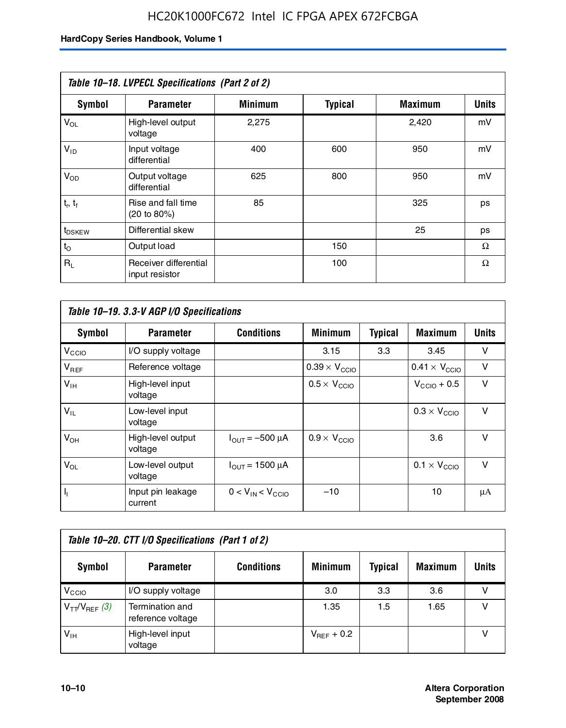| Table 10-18. LVPECL Specifications (Part 2 of 2) |                                         |                |                |                |              |  |  |
|--------------------------------------------------|-----------------------------------------|----------------|----------------|----------------|--------------|--|--|
| <b>Symbol</b>                                    | <b>Parameter</b>                        | <b>Minimum</b> | <b>Typical</b> | <b>Maximum</b> | <b>Units</b> |  |  |
| $V_{OL}$                                         | High-level output<br>voltage            | 2,275          |                | 2,420          | mV           |  |  |
| $V_{ID}$                                         | Input voltage<br>differential           | 400            | 600            | 950            | mV           |  |  |
| $V_{OD}$                                         | Output voltage<br>differential          | 625            | 800            | 950            | mV           |  |  |
| $t_r$ , $t_f$                                    | Rise and fall time<br>(20 to 80%)       | 85             |                | 325            | ps           |  |  |
| t <sub>DSKEW</sub>                               | Differential skew                       |                |                | 25             | ps           |  |  |
| $t_{\rm O}$                                      | Output load                             |                | 150            |                | Ω            |  |  |
| $R_1$                                            | Receiver differential<br>input resistor |                | 100            |                | Ω            |  |  |

| Table 10-19. 3.3-V AGP I/O Specifications |                              |                               |                               |                |                               |              |  |
|-------------------------------------------|------------------------------|-------------------------------|-------------------------------|----------------|-------------------------------|--------------|--|
| Symbol                                    | <b>Parameter</b>             | <b>Conditions</b>             | <b>Minimum</b>                | <b>Typical</b> | <b>Maximum</b>                | <b>Units</b> |  |
| V <sub>CCIO</sub>                         | I/O supply voltage           |                               | 3.15                          | 3.3            | 3.45                          | v            |  |
| $V_{REF}$                                 | Reference voltage            |                               | $0.39 \times V_{\text{CCIO}}$ |                | $0.41 \times V_{\text{CCIO}}$ | v            |  |
| $V_{\text{IH}}$                           | High-level input<br>voltage  |                               | $0.5 \times V_{\text{CCIO}}$  |                | $V_{\text{CCIO}} + 0.5$       | v            |  |
| $V_{IL}$                                  | Low-level input<br>voltage   |                               |                               |                | $0.3 \times V_{\text{CCIO}}$  | v            |  |
| $V_{OH}$                                  | High-level output<br>voltage | $I_{\text{OUT}} = -500 \mu A$ | $0.9 \times V_{\text{CCIO}}$  |                | 3.6                           | v            |  |
| $V_{OL}$                                  | Low-level output<br>voltage  | $I_{\text{OUT}} = 1500 \mu A$ |                               |                | $0.1 \times V_{\text{CCIO}}$  | v            |  |
| $I_1$                                     | Input pin leakage<br>current | $0 < V_{IN} < V_{CCIO}$       | $-10$                         |                | 10                            | μA           |  |

| Table 10–20. CTT I/O Specifications (Part 1 of 2) |                                      |                   |                 |                |                |       |  |
|---------------------------------------------------|--------------------------------------|-------------------|-----------------|----------------|----------------|-------|--|
| <b>Symbol</b>                                     | <b>Parameter</b>                     | <b>Conditions</b> | <b>Minimum</b>  | <b>Typical</b> | <b>Maximum</b> | Units |  |
| V <sub>CCIO</sub>                                 | I/O supply voltage                   |                   | 3.0             | 3.3            | 3.6            |       |  |
| $V_{TT}/V_{REF}$ (3)                              | Termination and<br>reference voltage |                   | 1.35            | 1.5            | 1.65           |       |  |
| $V_{IH}$                                          | High-level input<br>voltage          |                   | $V_{BFF}$ + 0.2 |                |                |       |  |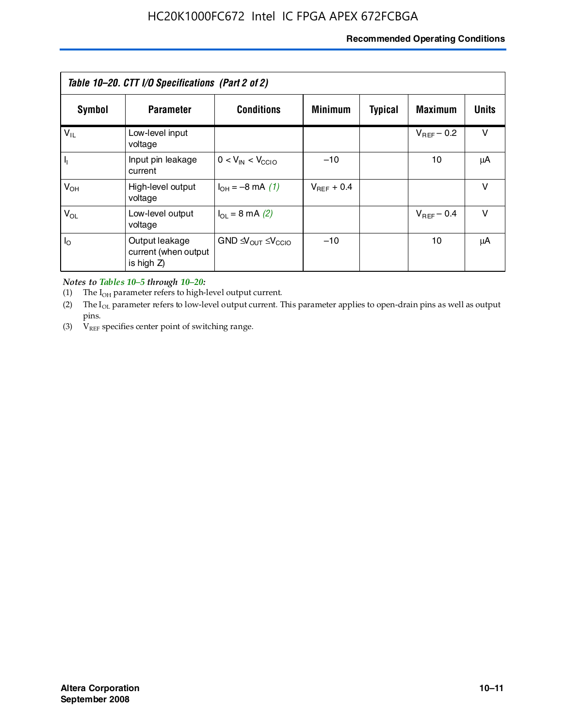#### **Recommended Operating Conditions**

| Table 10–20. CTT I/O Specifications (Part 2 of 2) |                                                      |                                                         |                 |                |                 |        |  |
|---------------------------------------------------|------------------------------------------------------|---------------------------------------------------------|-----------------|----------------|-----------------|--------|--|
| Symbol                                            | <b>Parameter</b>                                     | <b>Conditions</b>                                       | <b>Minimum</b>  | <b>Typical</b> | <b>Maximum</b>  | Units  |  |
| $V_{IL}$                                          | Low-level input<br>voltage                           |                                                         |                 |                | $V_{BFF}$ – 0.2 | $\vee$ |  |
| H,                                                | Input pin leakage<br>current                         | $0 < V_{IN} < V_{CC10}$                                 | $-10$           |                | 10              | μA     |  |
| $V_{OH}$                                          | High-level output<br>voltage                         | $I_{OH} = -8 \text{ mA} (1)$                            | $V_{BFF}$ + 0.4 |                |                 | $\vee$ |  |
| $V_{OL}$                                          | Low-level output<br>voltage                          | $I_{\Omega} = 8 \text{ mA} (2)$                         |                 |                | $V_{BFF}$ – 0.4 | $\vee$ |  |
| $I_{\odot}$                                       | Output leakage<br>current (when output<br>is high Z) | GND $\triangleleft V_{\text{OUT}} \leq V_{\text{CCIO}}$ | $-10$           |                | 10              | μA     |  |

*Notes to Tables 10–5 through 10–20:*

(1) The  $I_{OH}$  parameter refers to high-level output current.

(2) The  $I_{OL}$  parameter refers to low-level output current. This parameter applies to open-drain pins as well as output pins.

(3)  $V_{REF}$  specifies center point of switching range.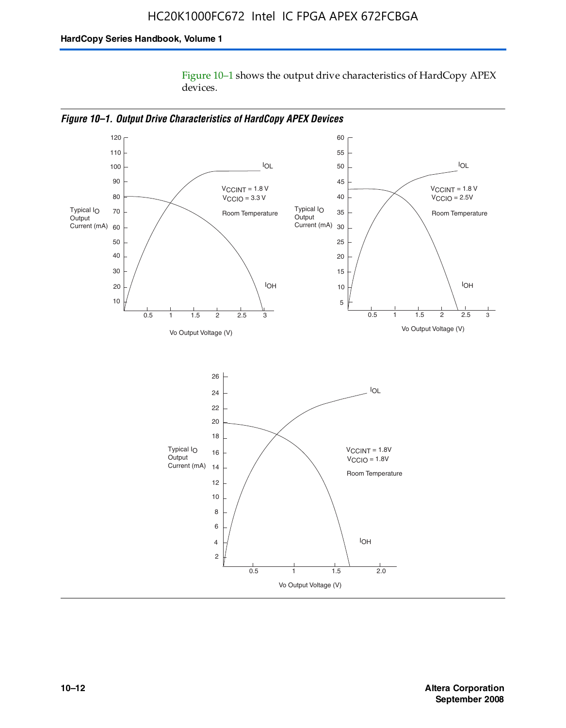Figure 10–1 shows the output drive characteristics of HardCopy APEX devices.



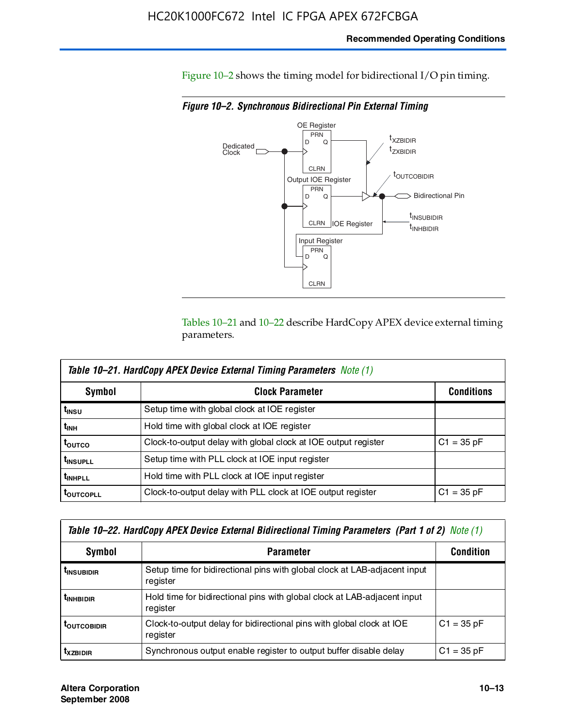Figure 10–2 shows the timing model for bidirectional I/O pin timing.

*Figure 10–2. Synchronous Bidirectional Pin External Timing*



Tables 10–21 and 10–22 describe HardCopy APEX device external timing parameters.

| <b>Table 10–21. HardCopy APEX Device External Timing Parameters Note (1)</b> |                                                                |                   |  |  |  |  |
|------------------------------------------------------------------------------|----------------------------------------------------------------|-------------------|--|--|--|--|
| Symbol                                                                       | <b>Clock Parameter</b>                                         | <b>Conditions</b> |  |  |  |  |
| t <sub>insu</sub>                                                            | Setup time with global clock at IOE register                   |                   |  |  |  |  |
| t <sub>інн</sub>                                                             | Hold time with global clock at IOE register                    |                   |  |  |  |  |
| ι <sub>ουτςο</sub>                                                           | Clock-to-output delay with global clock at IOE output register | $C1 = 35 pF$      |  |  |  |  |
| <b>t</b> INSUPLL                                                             | Setup time with PLL clock at IOE input register                |                   |  |  |  |  |
| <b>t</b> INHPLL                                                              | Hold time with PLL clock at IOE input register                 |                   |  |  |  |  |
| <b>TOUTCOPLL</b>                                                             | Clock-to-output delay with PLL clock at IOE output register    | $C1 = 35 pF$      |  |  |  |  |

| Table 10–22. HardCopy APEX Device External Bidirectional Timing Parameters (Part 1 of 2) Note (1) |                                                                                       |              |  |  |  |  |
|---------------------------------------------------------------------------------------------------|---------------------------------------------------------------------------------------|--------------|--|--|--|--|
| Symbol                                                                                            | <b>Condition</b>                                                                      |              |  |  |  |  |
| <b><i>L</i>INSUBIDIR</b>                                                                          | Setup time for bidirectional pins with global clock at LAB-adjacent input<br>register |              |  |  |  |  |
| <b><i>L</i>INHBIDIR</b>                                                                           | Hold time for bidirectional pins with global clock at LAB-adjacent input<br>register  |              |  |  |  |  |
| <b>LOUTCOBIDIR</b>                                                                                | Clock-to-output delay for bidirectional pins with global clock at IOE<br>register     | $C1 = 35 pF$ |  |  |  |  |
| $t_{XZBIDIR}$                                                                                     | Synchronous output enable register to output buffer disable delay                     | $C1 = 35 pF$ |  |  |  |  |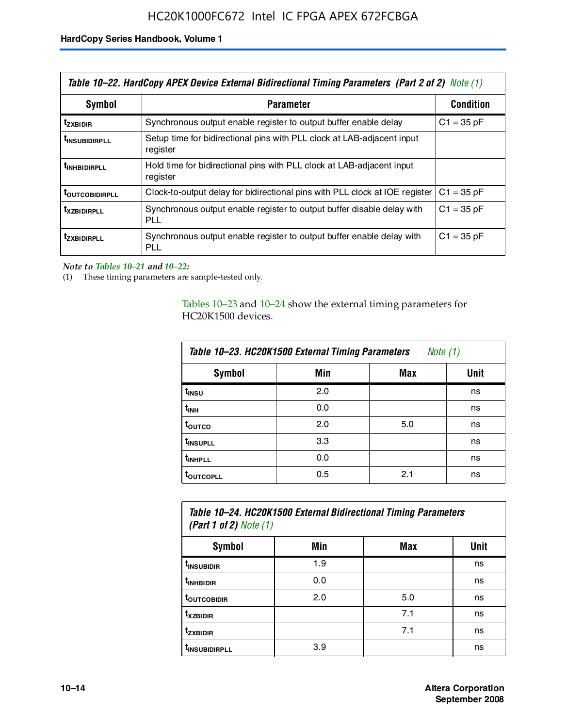| Table 10–22. HardCopy APEX Device External Bidirectional Timing Parameters (Part 2 of 2) Note (1) |                                                                                    |                  |  |  |  |
|---------------------------------------------------------------------------------------------------|------------------------------------------------------------------------------------|------------------|--|--|--|
| Symbol                                                                                            | <b>Parameter</b>                                                                   | <b>Condition</b> |  |  |  |
| t <sub>zxbidir</sub>                                                                              | Synchronous output enable register to output buffer enable delay                   | $C1 = 35 pF$     |  |  |  |
| <b>t</b> insubidirpll                                                                             | Setup time for bidirectional pins with PLL clock at LAB-adiacent input<br>register |                  |  |  |  |
| <b><i>LINHBIDIRPLL</i></b>                                                                        | Hold time for bidirectional pins with PLL clock at LAB-adjacent input<br>register  |                  |  |  |  |
| <b>TOUTCOBIDIRPLL</b>                                                                             | Clock-to-output delay for bidirectional pins with PLL clock at IOE register        | $C1 = 35 pF$     |  |  |  |
| <b>TXZBIDIRPLL</b>                                                                                | Synchronous output enable register to output buffer disable delay with<br>PLL      | $C1 = 35 pF$     |  |  |  |
| <i>t</i> zxbidirpll                                                                               | Synchronous output enable register to output buffer enable delay with<br>PLI.      | $C1 = 35 pF$     |  |  |  |

*Note to Tables 10–21 and 10–22:*

(1) These timing parameters are sample-tested only.

Tables 10–23 and 10–24 show the external timing parameters for HC20K1500 devices.

| Table 10-23. HC20K1500 External Timing Parameters<br>Note (1) |     |     |      |
|---------------------------------------------------------------|-----|-----|------|
| <b>Symbol</b>                                                 | Min | Max | Unit |
| t <sub>INSU</sub>                                             | 2.0 |     | ns   |
| $t_{\sf INH}$                                                 | 0.0 |     | ns   |
| t <sub>outco</sub>                                            | 2.0 | 5.0 | ns   |
| t <sub>INSUPLL</sub>                                          | 3.3 |     | ns   |
| t <sub>INHPLL</sub>                                           | 0.0 |     | ns   |
| <b>toutcopll</b>                                              | 0.5 | 2.1 | ns   |

| Table 10–24. HC20K1500 External Bidirectional Timing Parameters<br>(Part 1 of 2) Note $(1)$ |     |     |      |
|---------------------------------------------------------------------------------------------|-----|-----|------|
| Symbol                                                                                      | Min | Max | Unit |
| <sup>t</sup> INSUBIDIR                                                                      | 1.9 |     | ns   |
| t <sub>inhBidir</sub>                                                                       | 0.0 |     | ns   |

| t <sub>inhbidir</sub>     | v.o |     | ns |
|---------------------------|-----|-----|----|
| t <sub>outcobidir</sub>   | 2.0 | 5.0 | ns |
| t <sub>xzbidir</sub>      |     | 7.1 | ns |
| t <sub>zxbidir</sub>      |     | 7.1 | ns |
| t <sub>insubidirpll</sub> | 3.9 |     | ns |
|                           |     |     |    |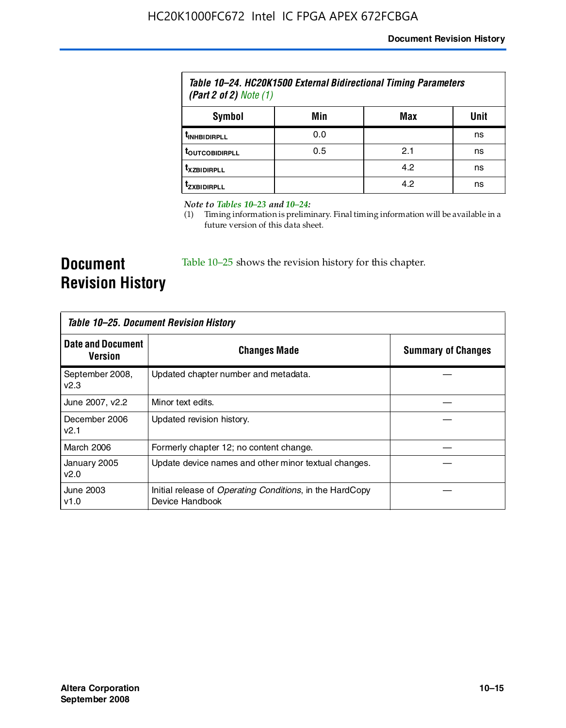| Table 10–24. HC20K1500 External Bidirectional Timing Parameters<br>(Part 2 of 2) Note $(1)$ |     |     |      |
|---------------------------------------------------------------------------------------------|-----|-----|------|
| Symbol                                                                                      | Min | Max | Unit |
| <b><i>L<sub>INHBIDIRPLL</sub></i></b>                                                       | 0.0 |     | ns   |
| <b><i>LOUTCOBIDIRPLL</i></b>                                                                | 0.5 | 2.1 | ns   |
| <b>TXZBIDIRPLL</b>                                                                          |     | 4.2 | ns   |
| <sup>T</sup> ZXBIDIRPLL                                                                     |     | 4.2 | ns   |

*Note to Tables 10–23 and 10–24:*

(1) Timing information is preliminary. Final timing information will be available in a future version of this data sheet.

**Document Revision History**

Table 10–25 shows the revision history for this chapter.

| Table 10–25. Document Revision History |                                                                                     |                           |
|----------------------------------------|-------------------------------------------------------------------------------------|---------------------------|
| <b>Date and Document</b><br>Version    | <b>Changes Made</b>                                                                 | <b>Summary of Changes</b> |
| September 2008,<br>V <sub>2.3</sub>    | Updated chapter number and metadata.                                                |                           |
| June 2007, v2.2                        | Minor text edits.                                                                   |                           |
| December 2006<br>v2.1                  | Updated revision history.                                                           |                           |
| March 2006                             | Formerly chapter 12; no content change.                                             |                           |
| January 2005<br>v2.0                   | Update device names and other minor textual changes.                                |                           |
| June 2003<br>v1.0                      | Initial release of <i>Operating Conditions</i> , in the HardCopy<br>Device Handbook |                           |